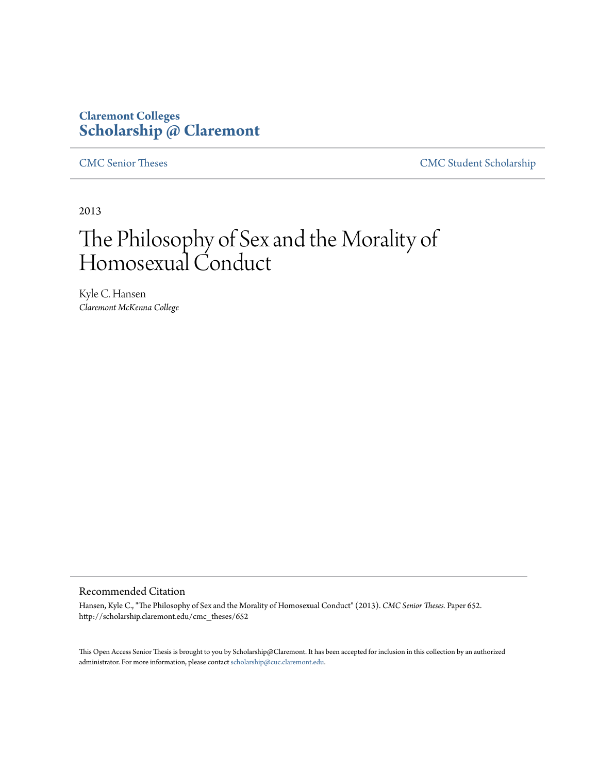# **Claremont Colleges [Scholarship @ Claremont](http://scholarship.claremont.edu)**

[CMC Senior Theses](http://scholarship.claremont.edu/cmc_theses) [CMC Student Scholarship](http://scholarship.claremont.edu/cmc_student)

2013

# The Philosophy of Sex and the Morality of Homosexual Conduct

Kyle C. Hansen *Claremont McKenna College*

#### Recommended Citation

Hansen, Kyle C., "The Philosophy of Sex and the Morality of Homosexual Conduct" (2013). *CMC Senior Theses.* Paper 652. http://scholarship.claremont.edu/cmc\_theses/652

This Open Access Senior Thesis is brought to you by Scholarship@Claremont. It has been accepted for inclusion in this collection by an authorized administrator. For more information, please contact [scholarship@cuc.claremont.edu.](mailto:scholarship@cuc.claremont.edu)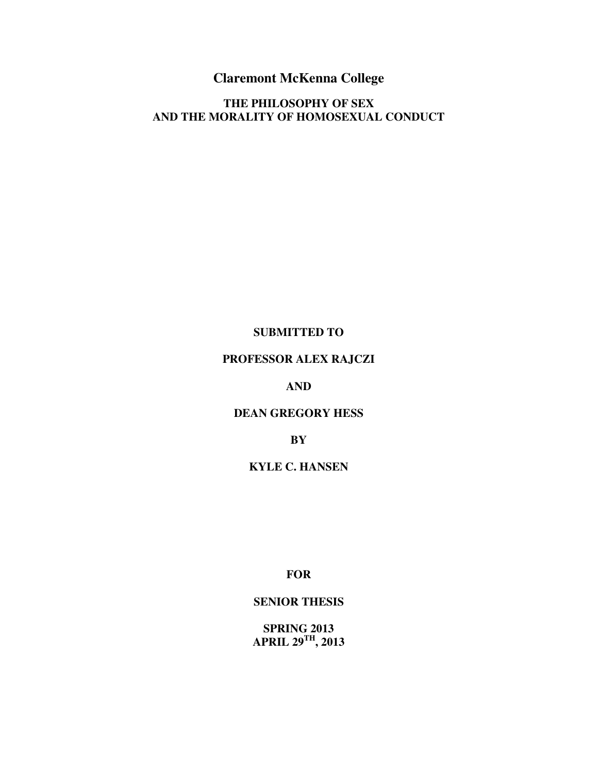# **Claremont McKenna College**

# **THE PHILOSOPHY OF SEX AND THE MORALITY OF HOMOSEXUAL CONDUCT**

#### **SUBMITTED TO**

# **PROFESSOR ALEX RAJCZI**

# **AND**

#### **DEAN GREGORY HESS**

#### **BY**

# **KYLE C. HANSEN**

**FOR** 

#### **SENIOR THESIS**

**SPRING 2013 APRIL 29TH, 2013**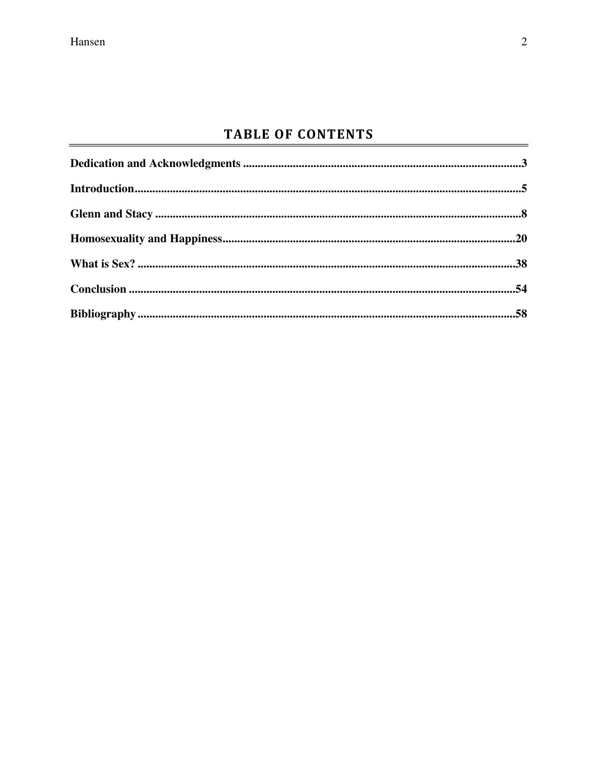# **TABLE OF CONTENTS**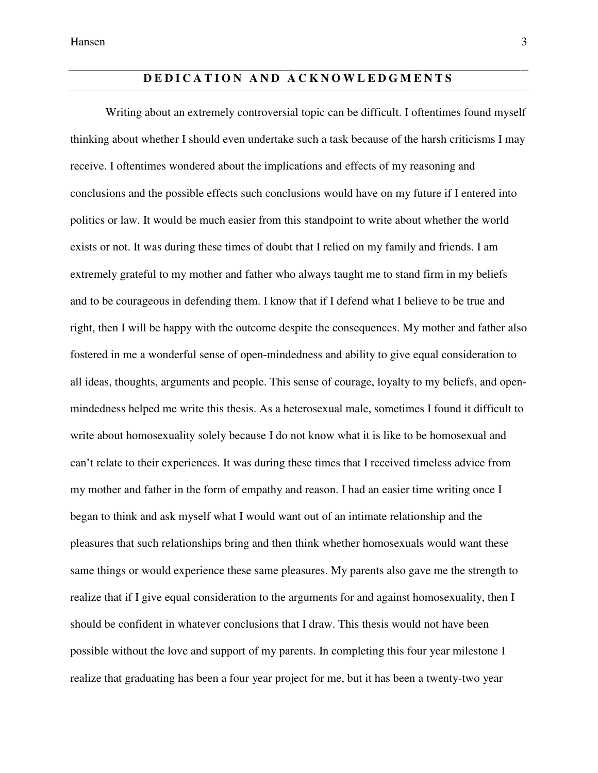# **D E D I C A T I O N A N D A C K N O W L E D G M E N T S**

Writing about an extremely controversial topic can be difficult. I oftentimes found myself thinking about whether I should even undertake such a task because of the harsh criticisms I may receive. I oftentimes wondered about the implications and effects of my reasoning and conclusions and the possible effects such conclusions would have on my future if I entered into politics or law. It would be much easier from this standpoint to write about whether the world exists or not. It was during these times of doubt that I relied on my family and friends. I am extremely grateful to my mother and father who always taught me to stand firm in my beliefs and to be courageous in defending them. I know that if I defend what I believe to be true and right, then I will be happy with the outcome despite the consequences. My mother and father also fostered in me a wonderful sense of open-mindedness and ability to give equal consideration to all ideas, thoughts, arguments and people. This sense of courage, loyalty to my beliefs, and openmindedness helped me write this thesis. As a heterosexual male, sometimes I found it difficult to write about homosexuality solely because I do not know what it is like to be homosexual and can't relate to their experiences. It was during these times that I received timeless advice from my mother and father in the form of empathy and reason. I had an easier time writing once I began to think and ask myself what I would want out of an intimate relationship and the pleasures that such relationships bring and then think whether homosexuals would want these same things or would experience these same pleasures. My parents also gave me the strength to realize that if I give equal consideration to the arguments for and against homosexuality, then I should be confident in whatever conclusions that I draw. This thesis would not have been possible without the love and support of my parents. In completing this four year milestone I realize that graduating has been a four year project for me, but it has been a twenty-two year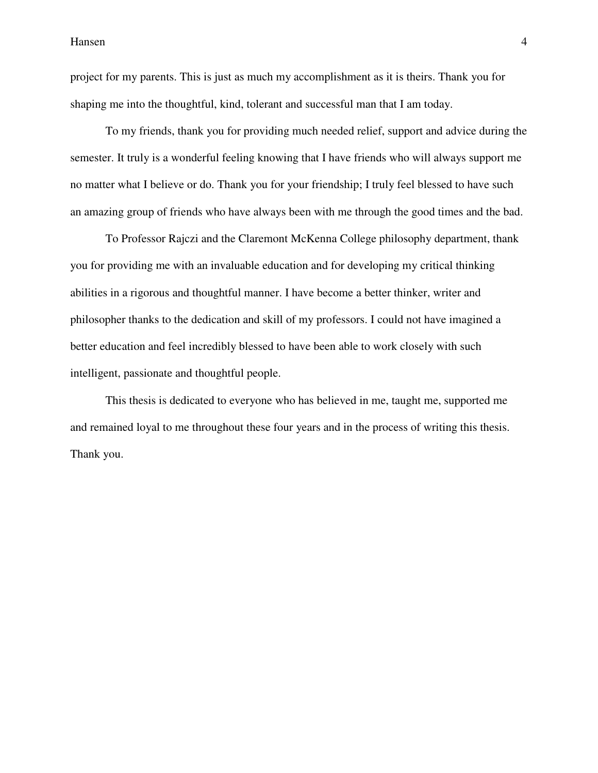project for my parents. This is just as much my accomplishment as it is theirs. Thank you for shaping me into the thoughtful, kind, tolerant and successful man that I am today.

 To my friends, thank you for providing much needed relief, support and advice during the semester. It truly is a wonderful feeling knowing that I have friends who will always support me no matter what I believe or do. Thank you for your friendship; I truly feel blessed to have such an amazing group of friends who have always been with me through the good times and the bad.

 To Professor Rajczi and the Claremont McKenna College philosophy department, thank you for providing me with an invaluable education and for developing my critical thinking abilities in a rigorous and thoughtful manner. I have become a better thinker, writer and philosopher thanks to the dedication and skill of my professors. I could not have imagined a better education and feel incredibly blessed to have been able to work closely with such intelligent, passionate and thoughtful people.

 This thesis is dedicated to everyone who has believed in me, taught me, supported me and remained loyal to me throughout these four years and in the process of writing this thesis. Thank you.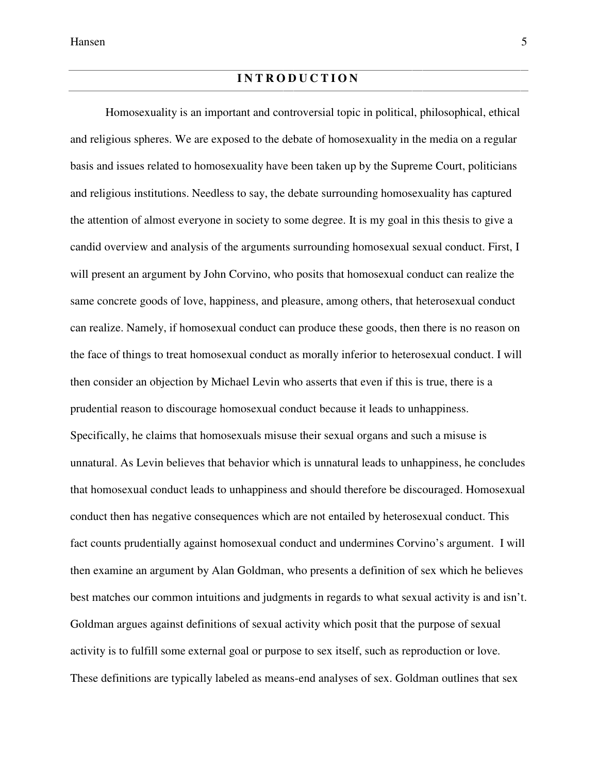Homosexuality is an important and controversial topic in political, philosophical, ethical and religious spheres. We are exposed to the debate of homosexuality in the media on a regular basis and issues related to homosexuality have been taken up by the Supreme Court, politicians and religious institutions. Needless to say, the debate surrounding homosexuality has captured the attention of almost everyone in society to some degree. It is my goal in this thesis to give a candid overview and analysis of the arguments surrounding homosexual sexual conduct. First, I will present an argument by John Corvino, who posits that homosexual conduct can realize the same concrete goods of love, happiness, and pleasure, among others, that heterosexual conduct can realize. Namely, if homosexual conduct can produce these goods, then there is no reason on the face of things to treat homosexual conduct as morally inferior to heterosexual conduct. I will then consider an objection by Michael Levin who asserts that even if this is true, there is a prudential reason to discourage homosexual conduct because it leads to unhappiness. Specifically, he claims that homosexuals misuse their sexual organs and such a misuse is unnatural. As Levin believes that behavior which is unnatural leads to unhappiness, he concludes that homosexual conduct leads to unhappiness and should therefore be discouraged. Homosexual conduct then has negative consequences which are not entailed by heterosexual conduct. This fact counts prudentially against homosexual conduct and undermines Corvino's argument. I will then examine an argument by Alan Goldman, who presents a definition of sex which he believes best matches our common intuitions and judgments in regards to what sexual activity is and isn't. Goldman argues against definitions of sexual activity which posit that the purpose of sexual activity is to fulfill some external goal or purpose to sex itself, such as reproduction or love. These definitions are typically labeled as means-end analyses of sex. Goldman outlines that sex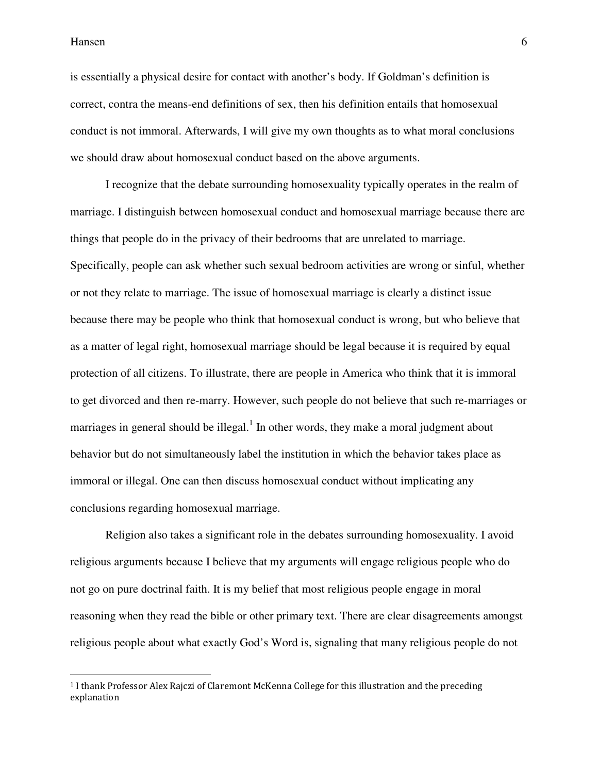**.** 

is essentially a physical desire for contact with another's body. If Goldman's definition is correct, contra the means-end definitions of sex, then his definition entails that homosexual conduct is not immoral. Afterwards, I will give my own thoughts as to what moral conclusions we should draw about homosexual conduct based on the above arguments.

 I recognize that the debate surrounding homosexuality typically operates in the realm of marriage. I distinguish between homosexual conduct and homosexual marriage because there are things that people do in the privacy of their bedrooms that are unrelated to marriage. Specifically, people can ask whether such sexual bedroom activities are wrong or sinful, whether or not they relate to marriage. The issue of homosexual marriage is clearly a distinct issue because there may be people who think that homosexual conduct is wrong, but who believe that as a matter of legal right, homosexual marriage should be legal because it is required by equal protection of all citizens. To illustrate, there are people in America who think that it is immoral to get divorced and then re-marry. However, such people do not believe that such re-marriages or marriages in general should be illegal.<sup>1</sup> In other words, they make a moral judgment about behavior but do not simultaneously label the institution in which the behavior takes place as immoral or illegal. One can then discuss homosexual conduct without implicating any conclusions regarding homosexual marriage.

 Religion also takes a significant role in the debates surrounding homosexuality. I avoid religious arguments because I believe that my arguments will engage religious people who do not go on pure doctrinal faith. It is my belief that most religious people engage in moral reasoning when they read the bible or other primary text. There are clear disagreements amongst religious people about what exactly God's Word is, signaling that many religious people do not

<sup>1</sup> I thank Professor Alex Rajczi of Claremont McKenna College for this illustration and the preceding explanation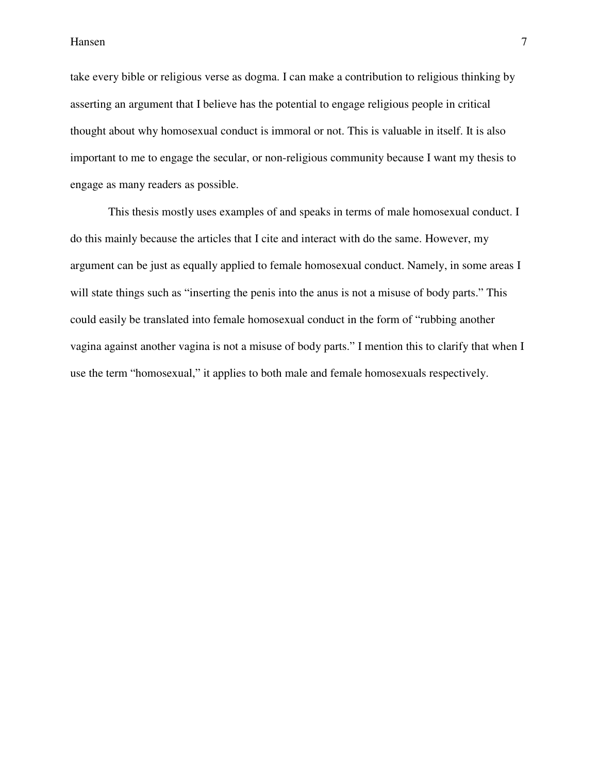take every bible or religious verse as dogma. I can make a contribution to religious thinking by asserting an argument that I believe has the potential to engage religious people in critical thought about why homosexual conduct is immoral or not. This is valuable in itself. It is also important to me to engage the secular, or non-religious community because I want my thesis to engage as many readers as possible.

 This thesis mostly uses examples of and speaks in terms of male homosexual conduct. I do this mainly because the articles that I cite and interact with do the same. However, my argument can be just as equally applied to female homosexual conduct. Namely, in some areas I will state things such as "inserting the penis into the anus is not a misuse of body parts." This could easily be translated into female homosexual conduct in the form of "rubbing another vagina against another vagina is not a misuse of body parts." I mention this to clarify that when I use the term "homosexual," it applies to both male and female homosexuals respectively.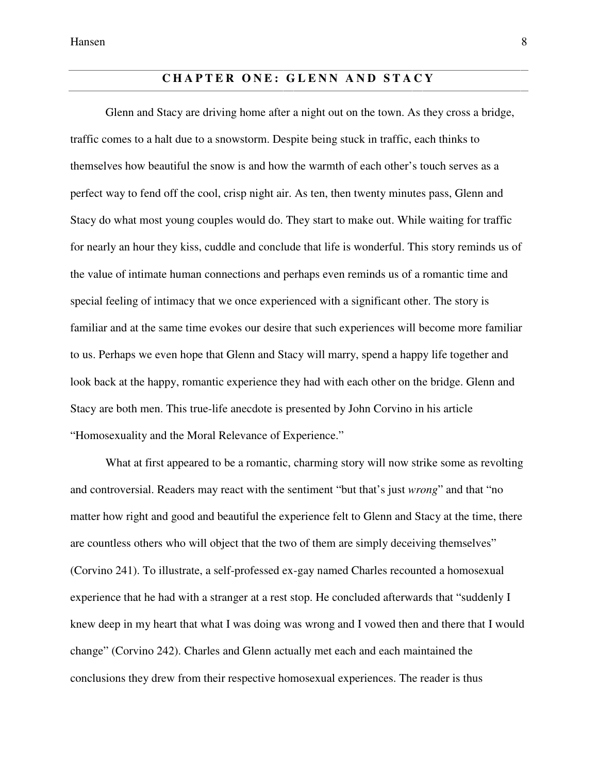# **CHAPTER ONE: GLENN AND STACY**

 Glenn and Stacy are driving home after a night out on the town. As they cross a bridge, traffic comes to a halt due to a snowstorm. Despite being stuck in traffic, each thinks to themselves how beautiful the snow is and how the warmth of each other's touch serves as a perfect way to fend off the cool, crisp night air. As ten, then twenty minutes pass, Glenn and Stacy do what most young couples would do. They start to make out. While waiting for traffic for nearly an hour they kiss, cuddle and conclude that life is wonderful. This story reminds us of the value of intimate human connections and perhaps even reminds us of a romantic time and special feeling of intimacy that we once experienced with a significant other. The story is familiar and at the same time evokes our desire that such experiences will become more familiar to us. Perhaps we even hope that Glenn and Stacy will marry, spend a happy life together and look back at the happy, romantic experience they had with each other on the bridge. Glenn and Stacy are both men. This true-life anecdote is presented by John Corvino in his article "Homosexuality and the Moral Relevance of Experience."

 What at first appeared to be a romantic, charming story will now strike some as revolting and controversial. Readers may react with the sentiment "but that's just *wrong*" and that "no matter how right and good and beautiful the experience felt to Glenn and Stacy at the time, there are countless others who will object that the two of them are simply deceiving themselves" (Corvino 241). To illustrate, a self-professed ex-gay named Charles recounted a homosexual experience that he had with a stranger at a rest stop. He concluded afterwards that "suddenly I knew deep in my heart that what I was doing was wrong and I vowed then and there that I would change" (Corvino 242). Charles and Glenn actually met each and each maintained the conclusions they drew from their respective homosexual experiences. The reader is thus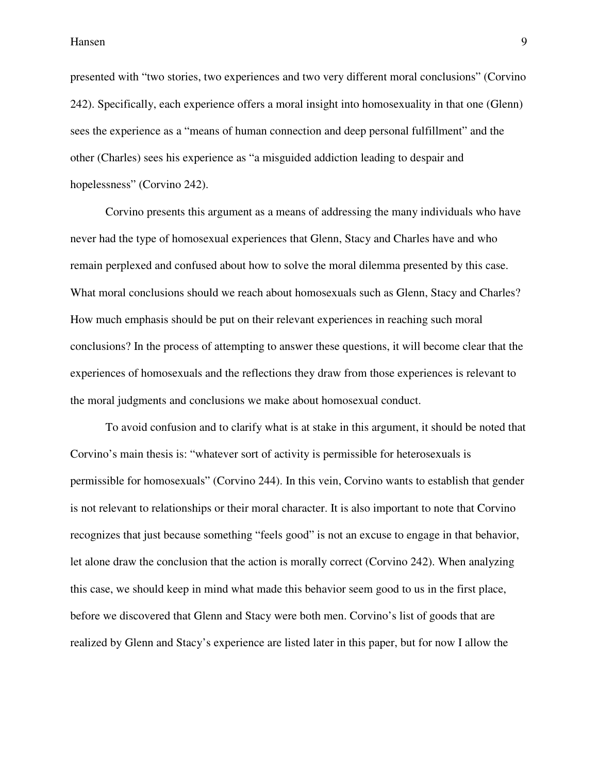presented with "two stories, two experiences and two very different moral conclusions" (Corvino 242). Specifically, each experience offers a moral insight into homosexuality in that one (Glenn) sees the experience as a "means of human connection and deep personal fulfillment" and the other (Charles) sees his experience as "a misguided addiction leading to despair and hopelessness" (Corvino 242).

 Corvino presents this argument as a means of addressing the many individuals who have never had the type of homosexual experiences that Glenn, Stacy and Charles have and who remain perplexed and confused about how to solve the moral dilemma presented by this case. What moral conclusions should we reach about homosexuals such as Glenn, Stacy and Charles? How much emphasis should be put on their relevant experiences in reaching such moral conclusions? In the process of attempting to answer these questions, it will become clear that the experiences of homosexuals and the reflections they draw from those experiences is relevant to the moral judgments and conclusions we make about homosexual conduct.

 To avoid confusion and to clarify what is at stake in this argument, it should be noted that Corvino's main thesis is: "whatever sort of activity is permissible for heterosexuals is permissible for homosexuals" (Corvino 244). In this vein, Corvino wants to establish that gender is not relevant to relationships or their moral character. It is also important to note that Corvino recognizes that just because something "feels good" is not an excuse to engage in that behavior, let alone draw the conclusion that the action is morally correct (Corvino 242). When analyzing this case, we should keep in mind what made this behavior seem good to us in the first place, before we discovered that Glenn and Stacy were both men. Corvino's list of goods that are realized by Glenn and Stacy's experience are listed later in this paper, but for now I allow the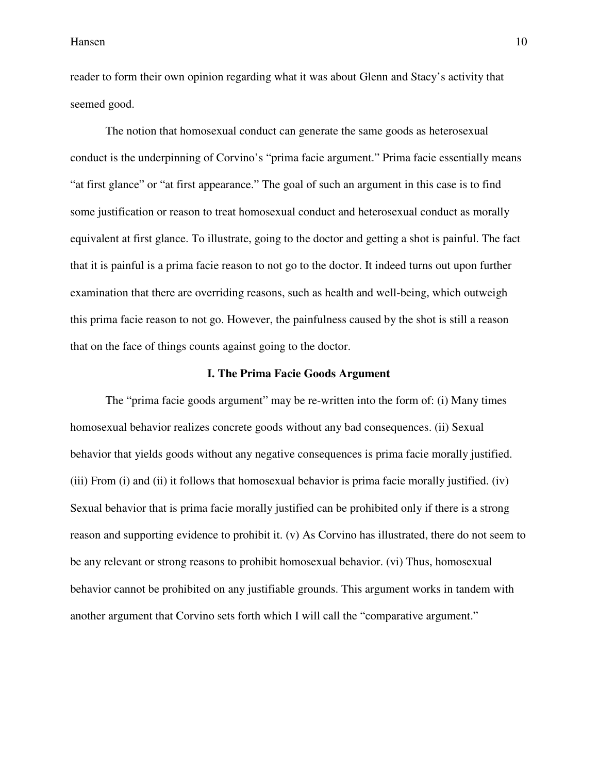reader to form their own opinion regarding what it was about Glenn and Stacy's activity that seemed good.

 The notion that homosexual conduct can generate the same goods as heterosexual conduct is the underpinning of Corvino's "prima facie argument." Prima facie essentially means "at first glance" or "at first appearance." The goal of such an argument in this case is to find some justification or reason to treat homosexual conduct and heterosexual conduct as morally equivalent at first glance. To illustrate, going to the doctor and getting a shot is painful. The fact that it is painful is a prima facie reason to not go to the doctor. It indeed turns out upon further examination that there are overriding reasons, such as health and well-being, which outweigh this prima facie reason to not go. However, the painfulness caused by the shot is still a reason that on the face of things counts against going to the doctor.

#### **I. The Prima Facie Goods Argument**

 The "prima facie goods argument" may be re-written into the form of: (i) Many times homosexual behavior realizes concrete goods without any bad consequences. (ii) Sexual behavior that yields goods without any negative consequences is prima facie morally justified. (iii) From (i) and (ii) it follows that homosexual behavior is prima facie morally justified. (iv) Sexual behavior that is prima facie morally justified can be prohibited only if there is a strong reason and supporting evidence to prohibit it. (v) As Corvino has illustrated, there do not seem to be any relevant or strong reasons to prohibit homosexual behavior. (vi) Thus, homosexual behavior cannot be prohibited on any justifiable grounds. This argument works in tandem with another argument that Corvino sets forth which I will call the "comparative argument."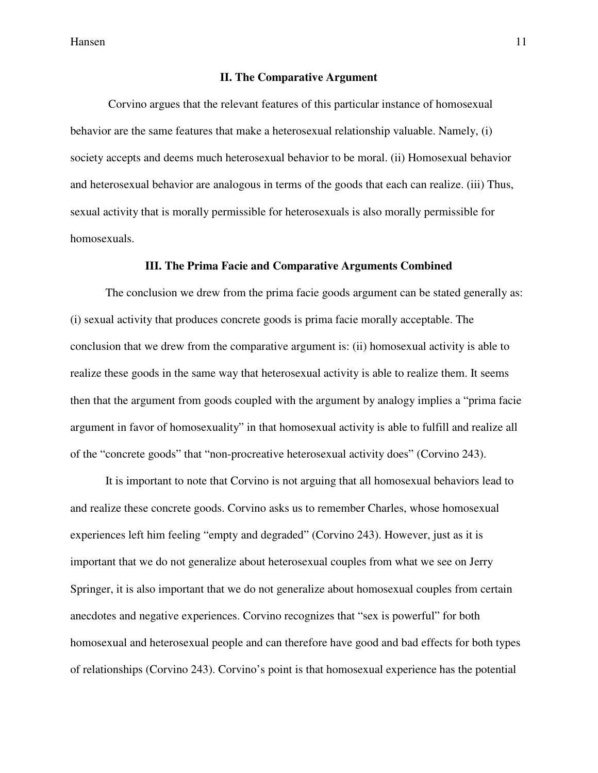#### **II. The Comparative Argument**

 Corvino argues that the relevant features of this particular instance of homosexual behavior are the same features that make a heterosexual relationship valuable. Namely, (i) society accepts and deems much heterosexual behavior to be moral. (ii) Homosexual behavior and heterosexual behavior are analogous in terms of the goods that each can realize. (iii) Thus, sexual activity that is morally permissible for heterosexuals is also morally permissible for homosexuals.

#### **III. The Prima Facie and Comparative Arguments Combined**

 The conclusion we drew from the prima facie goods argument can be stated generally as: (i) sexual activity that produces concrete goods is prima facie morally acceptable. The conclusion that we drew from the comparative argument is: (ii) homosexual activity is able to realize these goods in the same way that heterosexual activity is able to realize them. It seems then that the argument from goods coupled with the argument by analogy implies a "prima facie argument in favor of homosexuality" in that homosexual activity is able to fulfill and realize all of the "concrete goods" that "non-procreative heterosexual activity does" (Corvino 243).

 It is important to note that Corvino is not arguing that all homosexual behaviors lead to and realize these concrete goods. Corvino asks us to remember Charles, whose homosexual experiences left him feeling "empty and degraded" (Corvino 243). However, just as it is important that we do not generalize about heterosexual couples from what we see on Jerry Springer, it is also important that we do not generalize about homosexual couples from certain anecdotes and negative experiences. Corvino recognizes that "sex is powerful" for both homosexual and heterosexual people and can therefore have good and bad effects for both types of relationships (Corvino 243). Corvino's point is that homosexual experience has the potential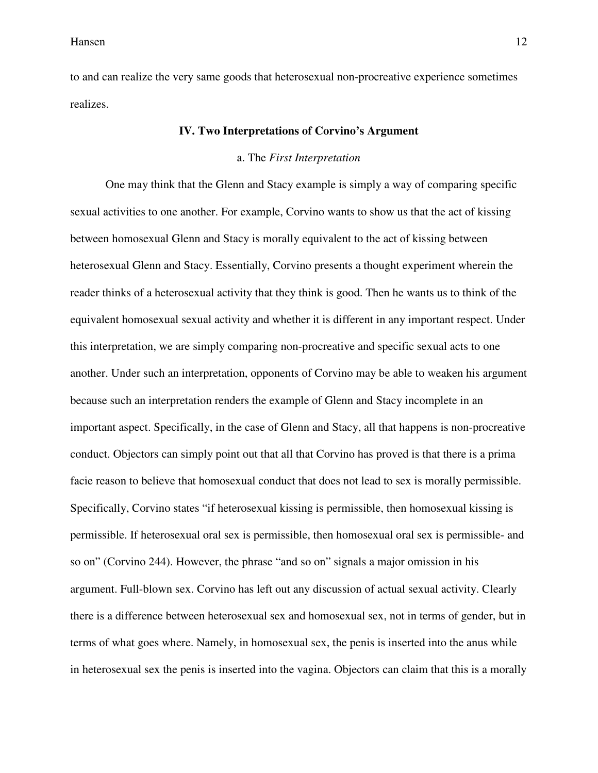to and can realize the very same goods that heterosexual non-procreative experience sometimes realizes.

#### **IV. Two Interpretations of Corvino's Argument**

#### a. The *First Interpretation*

 One may think that the Glenn and Stacy example is simply a way of comparing specific sexual activities to one another. For example, Corvino wants to show us that the act of kissing between homosexual Glenn and Stacy is morally equivalent to the act of kissing between heterosexual Glenn and Stacy. Essentially, Corvino presents a thought experiment wherein the reader thinks of a heterosexual activity that they think is good. Then he wants us to think of the equivalent homosexual sexual activity and whether it is different in any important respect. Under this interpretation, we are simply comparing non-procreative and specific sexual acts to one another. Under such an interpretation, opponents of Corvino may be able to weaken his argument because such an interpretation renders the example of Glenn and Stacy incomplete in an important aspect. Specifically, in the case of Glenn and Stacy, all that happens is non-procreative conduct. Objectors can simply point out that all that Corvino has proved is that there is a prima facie reason to believe that homosexual conduct that does not lead to sex is morally permissible. Specifically, Corvino states "if heterosexual kissing is permissible, then homosexual kissing is permissible. If heterosexual oral sex is permissible, then homosexual oral sex is permissible- and so on" (Corvino 244). However, the phrase "and so on" signals a major omission in his argument. Full-blown sex. Corvino has left out any discussion of actual sexual activity. Clearly there is a difference between heterosexual sex and homosexual sex, not in terms of gender, but in terms of what goes where. Namely, in homosexual sex, the penis is inserted into the anus while in heterosexual sex the penis is inserted into the vagina. Objectors can claim that this is a morally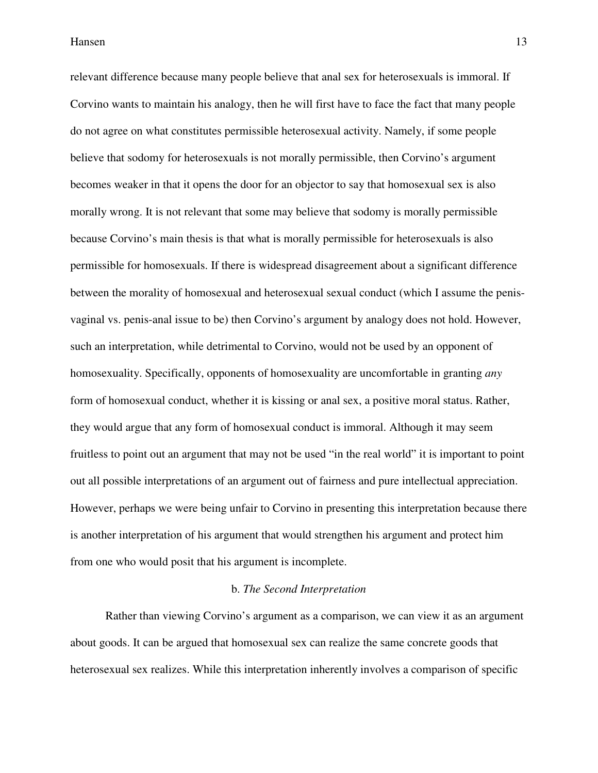relevant difference because many people believe that anal sex for heterosexuals is immoral. If Corvino wants to maintain his analogy, then he will first have to face the fact that many people do not agree on what constitutes permissible heterosexual activity. Namely, if some people believe that sodomy for heterosexuals is not morally permissible, then Corvino's argument becomes weaker in that it opens the door for an objector to say that homosexual sex is also morally wrong. It is not relevant that some may believe that sodomy is morally permissible because Corvino's main thesis is that what is morally permissible for heterosexuals is also permissible for homosexuals. If there is widespread disagreement about a significant difference between the morality of homosexual and heterosexual sexual conduct (which I assume the penisvaginal vs. penis-anal issue to be) then Corvino's argument by analogy does not hold. However, such an interpretation, while detrimental to Corvino, would not be used by an opponent of homosexuality. Specifically, opponents of homosexuality are uncomfortable in granting *any*  form of homosexual conduct, whether it is kissing or anal sex, a positive moral status. Rather, they would argue that any form of homosexual conduct is immoral. Although it may seem fruitless to point out an argument that may not be used "in the real world" it is important to point out all possible interpretations of an argument out of fairness and pure intellectual appreciation. However, perhaps we were being unfair to Corvino in presenting this interpretation because there is another interpretation of his argument that would strengthen his argument and protect him from one who would posit that his argument is incomplete.

#### b. *The Second Interpretation*

 Rather than viewing Corvino's argument as a comparison, we can view it as an argument about goods. It can be argued that homosexual sex can realize the same concrete goods that heterosexual sex realizes. While this interpretation inherently involves a comparison of specific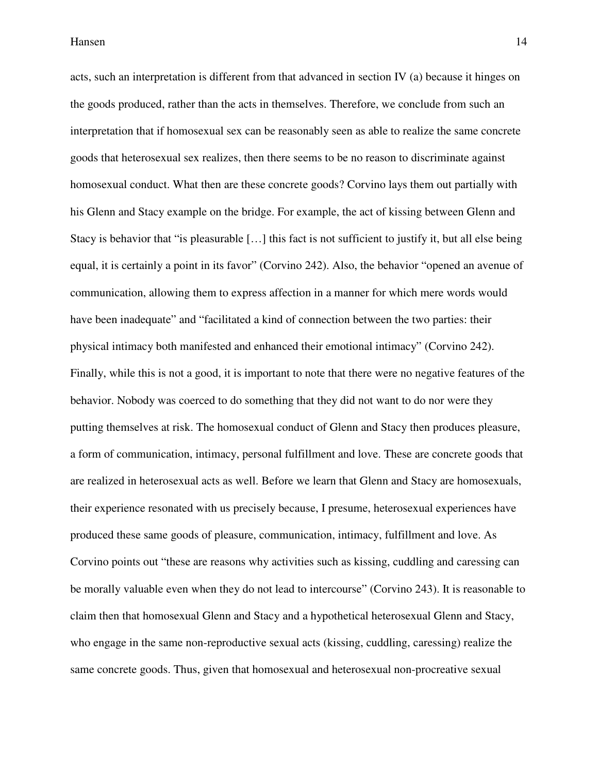acts, such an interpretation is different from that advanced in section IV (a) because it hinges on the goods produced, rather than the acts in themselves. Therefore, we conclude from such an interpretation that if homosexual sex can be reasonably seen as able to realize the same concrete goods that heterosexual sex realizes, then there seems to be no reason to discriminate against homosexual conduct. What then are these concrete goods? Corvino lays them out partially with his Glenn and Stacy example on the bridge. For example, the act of kissing between Glenn and Stacy is behavior that "is pleasurable […] this fact is not sufficient to justify it, but all else being equal, it is certainly a point in its favor" (Corvino 242). Also, the behavior "opened an avenue of communication, allowing them to express affection in a manner for which mere words would have been inadequate" and "facilitated a kind of connection between the two parties: their physical intimacy both manifested and enhanced their emotional intimacy" (Corvino 242). Finally, while this is not a good, it is important to note that there were no negative features of the behavior. Nobody was coerced to do something that they did not want to do nor were they putting themselves at risk. The homosexual conduct of Glenn and Stacy then produces pleasure, a form of communication, intimacy, personal fulfillment and love. These are concrete goods that are realized in heterosexual acts as well. Before we learn that Glenn and Stacy are homosexuals, their experience resonated with us precisely because, I presume, heterosexual experiences have produced these same goods of pleasure, communication, intimacy, fulfillment and love. As Corvino points out "these are reasons why activities such as kissing, cuddling and caressing can be morally valuable even when they do not lead to intercourse" (Corvino 243). It is reasonable to claim then that homosexual Glenn and Stacy and a hypothetical heterosexual Glenn and Stacy, who engage in the same non-reproductive sexual acts (kissing, cuddling, caressing) realize the same concrete goods. Thus, given that homosexual and heterosexual non-procreative sexual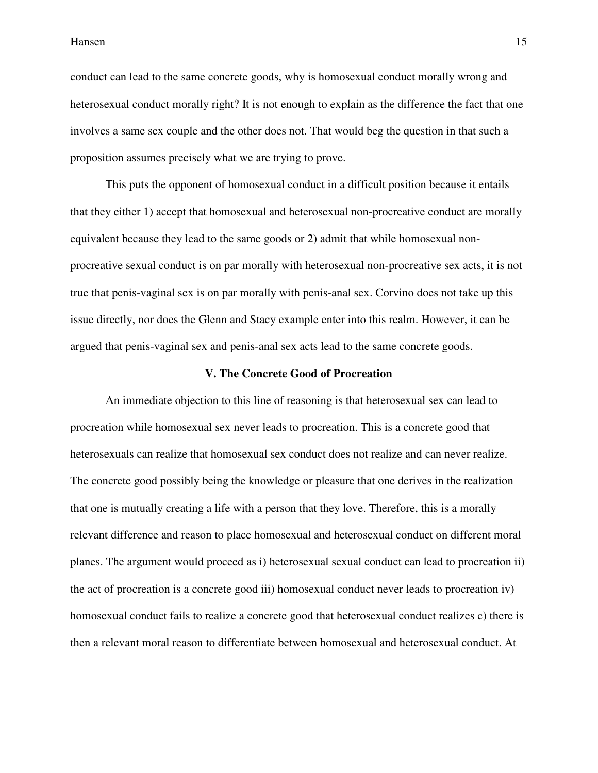conduct can lead to the same concrete goods, why is homosexual conduct morally wrong and heterosexual conduct morally right? It is not enough to explain as the difference the fact that one involves a same sex couple and the other does not. That would beg the question in that such a proposition assumes precisely what we are trying to prove.

 This puts the opponent of homosexual conduct in a difficult position because it entails that they either 1) accept that homosexual and heterosexual non-procreative conduct are morally equivalent because they lead to the same goods or 2) admit that while homosexual nonprocreative sexual conduct is on par morally with heterosexual non-procreative sex acts, it is not true that penis-vaginal sex is on par morally with penis-anal sex. Corvino does not take up this issue directly, nor does the Glenn and Stacy example enter into this realm. However, it can be argued that penis-vaginal sex and penis-anal sex acts lead to the same concrete goods.

#### **V. The Concrete Good of Procreation**

 An immediate objection to this line of reasoning is that heterosexual sex can lead to procreation while homosexual sex never leads to procreation. This is a concrete good that heterosexuals can realize that homosexual sex conduct does not realize and can never realize. The concrete good possibly being the knowledge or pleasure that one derives in the realization that one is mutually creating a life with a person that they love. Therefore, this is a morally relevant difference and reason to place homosexual and heterosexual conduct on different moral planes. The argument would proceed as i) heterosexual sexual conduct can lead to procreation ii) the act of procreation is a concrete good iii) homosexual conduct never leads to procreation iv) homosexual conduct fails to realize a concrete good that heterosexual conduct realizes c) there is then a relevant moral reason to differentiate between homosexual and heterosexual conduct. At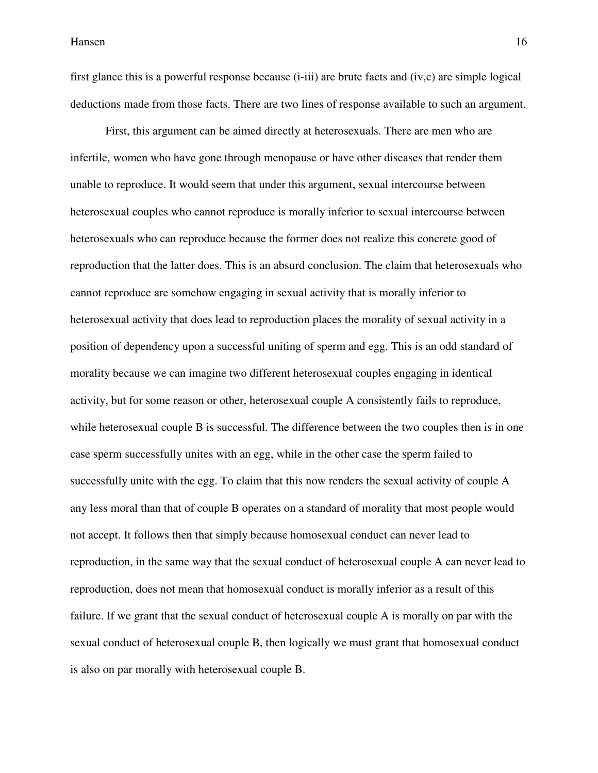first glance this is a powerful response because (i-iii) are brute facts and (iv,c) are simple logical deductions made from those facts. There are two lines of response available to such an argument.

 First, this argument can be aimed directly at heterosexuals. There are men who are infertile, women who have gone through menopause or have other diseases that render them unable to reproduce. It would seem that under this argument, sexual intercourse between heterosexual couples who cannot reproduce is morally inferior to sexual intercourse between heterosexuals who can reproduce because the former does not realize this concrete good of reproduction that the latter does. This is an absurd conclusion. The claim that heterosexuals who cannot reproduce are somehow engaging in sexual activity that is morally inferior to heterosexual activity that does lead to reproduction places the morality of sexual activity in a position of dependency upon a successful uniting of sperm and egg. This is an odd standard of morality because we can imagine two different heterosexual couples engaging in identical activity, but for some reason or other, heterosexual couple A consistently fails to reproduce, while heterosexual couple B is successful. The difference between the two couples then is in one case sperm successfully unites with an egg, while in the other case the sperm failed to successfully unite with the egg. To claim that this now renders the sexual activity of couple A any less moral than that of couple B operates on a standard of morality that most people would not accept. It follows then that simply because homosexual conduct can never lead to reproduction, in the same way that the sexual conduct of heterosexual couple A can never lead to reproduction, does not mean that homosexual conduct is morally inferior as a result of this failure. If we grant that the sexual conduct of heterosexual couple A is morally on par with the sexual conduct of heterosexual couple B, then logically we must grant that homosexual conduct is also on par morally with heterosexual couple B.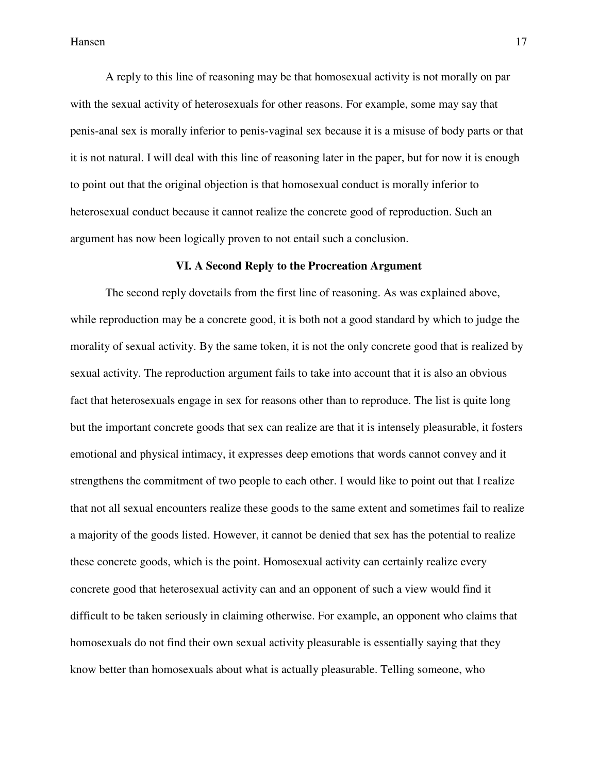A reply to this line of reasoning may be that homosexual activity is not morally on par with the sexual activity of heterosexuals for other reasons. For example, some may say that penis-anal sex is morally inferior to penis-vaginal sex because it is a misuse of body parts or that it is not natural. I will deal with this line of reasoning later in the paper, but for now it is enough to point out that the original objection is that homosexual conduct is morally inferior to heterosexual conduct because it cannot realize the concrete good of reproduction. Such an argument has now been logically proven to not entail such a conclusion.

#### **VI. A Second Reply to the Procreation Argument**

 The second reply dovetails from the first line of reasoning. As was explained above, while reproduction may be a concrete good, it is both not a good standard by which to judge the morality of sexual activity. By the same token, it is not the only concrete good that is realized by sexual activity. The reproduction argument fails to take into account that it is also an obvious fact that heterosexuals engage in sex for reasons other than to reproduce. The list is quite long but the important concrete goods that sex can realize are that it is intensely pleasurable, it fosters emotional and physical intimacy, it expresses deep emotions that words cannot convey and it strengthens the commitment of two people to each other. I would like to point out that I realize that not all sexual encounters realize these goods to the same extent and sometimes fail to realize a majority of the goods listed. However, it cannot be denied that sex has the potential to realize these concrete goods, which is the point. Homosexual activity can certainly realize every concrete good that heterosexual activity can and an opponent of such a view would find it difficult to be taken seriously in claiming otherwise. For example, an opponent who claims that homosexuals do not find their own sexual activity pleasurable is essentially saying that they know better than homosexuals about what is actually pleasurable. Telling someone, who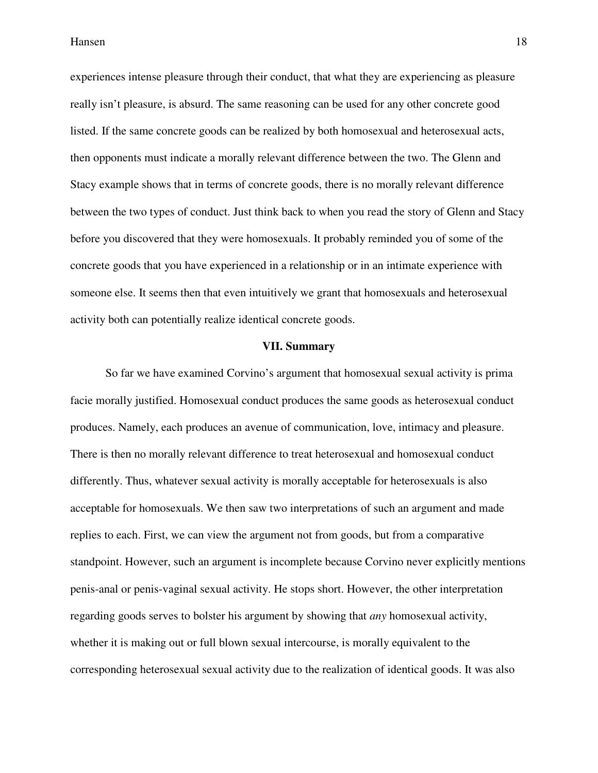experiences intense pleasure through their conduct, that what they are experiencing as pleasure really isn't pleasure, is absurd. The same reasoning can be used for any other concrete good listed. If the same concrete goods can be realized by both homosexual and heterosexual acts, then opponents must indicate a morally relevant difference between the two. The Glenn and Stacy example shows that in terms of concrete goods, there is no morally relevant difference between the two types of conduct. Just think back to when you read the story of Glenn and Stacy before you discovered that they were homosexuals. It probably reminded you of some of the concrete goods that you have experienced in a relationship or in an intimate experience with someone else. It seems then that even intuitively we grant that homosexuals and heterosexual activity both can potentially realize identical concrete goods.

#### **VII. Summary**

 So far we have examined Corvino's argument that homosexual sexual activity is prima facie morally justified. Homosexual conduct produces the same goods as heterosexual conduct produces. Namely, each produces an avenue of communication, love, intimacy and pleasure. There is then no morally relevant difference to treat heterosexual and homosexual conduct differently. Thus, whatever sexual activity is morally acceptable for heterosexuals is also acceptable for homosexuals. We then saw two interpretations of such an argument and made replies to each. First, we can view the argument not from goods, but from a comparative standpoint. However, such an argument is incomplete because Corvino never explicitly mentions penis-anal or penis-vaginal sexual activity. He stops short. However, the other interpretation regarding goods serves to bolster his argument by showing that *any* homosexual activity, whether it is making out or full blown sexual intercourse, is morally equivalent to the corresponding heterosexual sexual activity due to the realization of identical goods. It was also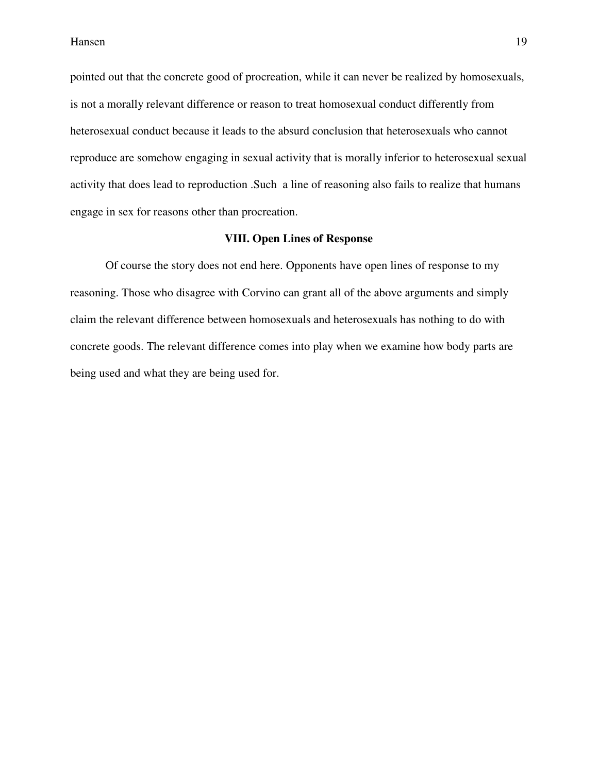pointed out that the concrete good of procreation, while it can never be realized by homosexuals, is not a morally relevant difference or reason to treat homosexual conduct differently from heterosexual conduct because it leads to the absurd conclusion that heterosexuals who cannot reproduce are somehow engaging in sexual activity that is morally inferior to heterosexual sexual activity that does lead to reproduction .Such a line of reasoning also fails to realize that humans engage in sex for reasons other than procreation.

# **VIII. Open Lines of Response**

 Of course the story does not end here. Opponents have open lines of response to my reasoning. Those who disagree with Corvino can grant all of the above arguments and simply claim the relevant difference between homosexuals and heterosexuals has nothing to do with concrete goods. The relevant difference comes into play when we examine how body parts are being used and what they are being used for.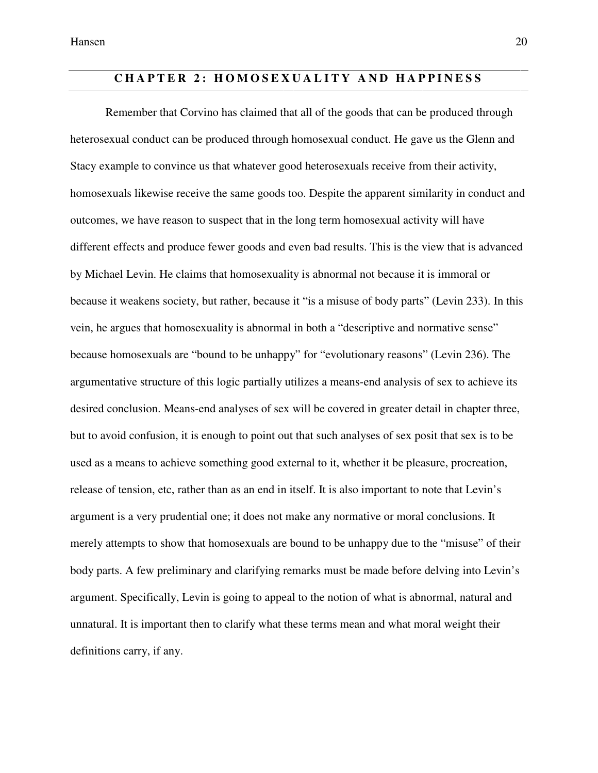# **CHAPTER 2: HOMOSEXUALITY AND HAPPINESS**

 Remember that Corvino has claimed that all of the goods that can be produced through heterosexual conduct can be produced through homosexual conduct. He gave us the Glenn and Stacy example to convince us that whatever good heterosexuals receive from their activity, homosexuals likewise receive the same goods too. Despite the apparent similarity in conduct and outcomes, we have reason to suspect that in the long term homosexual activity will have different effects and produce fewer goods and even bad results. This is the view that is advanced by Michael Levin. He claims that homosexuality is abnormal not because it is immoral or because it weakens society, but rather, because it "is a misuse of body parts" (Levin 233). In this vein, he argues that homosexuality is abnormal in both a "descriptive and normative sense" because homosexuals are "bound to be unhappy" for "evolutionary reasons" (Levin 236). The argumentative structure of this logic partially utilizes a means-end analysis of sex to achieve its desired conclusion. Means-end analyses of sex will be covered in greater detail in chapter three, but to avoid confusion, it is enough to point out that such analyses of sex posit that sex is to be used as a means to achieve something good external to it, whether it be pleasure, procreation, release of tension, etc, rather than as an end in itself. It is also important to note that Levin's argument is a very prudential one; it does not make any normative or moral conclusions. It merely attempts to show that homosexuals are bound to be unhappy due to the "misuse" of their body parts. A few preliminary and clarifying remarks must be made before delving into Levin's argument. Specifically, Levin is going to appeal to the notion of what is abnormal, natural and unnatural. It is important then to clarify what these terms mean and what moral weight their definitions carry, if any.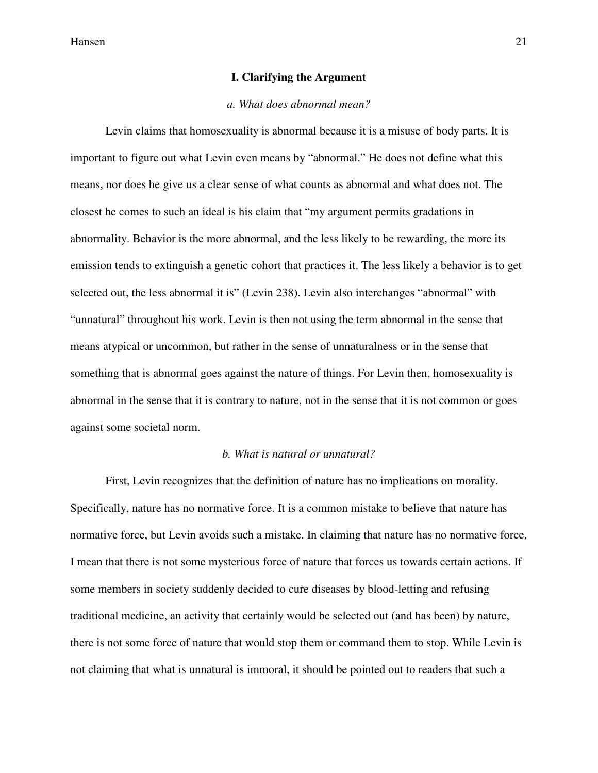#### **I. Clarifying the Argument**

#### *a. What does abnormal mean?*

 Levin claims that homosexuality is abnormal because it is a misuse of body parts. It is important to figure out what Levin even means by "abnormal." He does not define what this means, nor does he give us a clear sense of what counts as abnormal and what does not. The closest he comes to such an ideal is his claim that "my argument permits gradations in abnormality. Behavior is the more abnormal, and the less likely to be rewarding, the more its emission tends to extinguish a genetic cohort that practices it. The less likely a behavior is to get selected out, the less abnormal it is" (Levin 238). Levin also interchanges "abnormal" with "unnatural" throughout his work. Levin is then not using the term abnormal in the sense that means atypical or uncommon, but rather in the sense of unnaturalness or in the sense that something that is abnormal goes against the nature of things. For Levin then, homosexuality is abnormal in the sense that it is contrary to nature, not in the sense that it is not common or goes against some societal norm.

#### *b. What is natural or unnatural?*

 First, Levin recognizes that the definition of nature has no implications on morality. Specifically, nature has no normative force. It is a common mistake to believe that nature has normative force, but Levin avoids such a mistake. In claiming that nature has no normative force, I mean that there is not some mysterious force of nature that forces us towards certain actions. If some members in society suddenly decided to cure diseases by blood-letting and refusing traditional medicine, an activity that certainly would be selected out (and has been) by nature, there is not some force of nature that would stop them or command them to stop. While Levin is not claiming that what is unnatural is immoral, it should be pointed out to readers that such a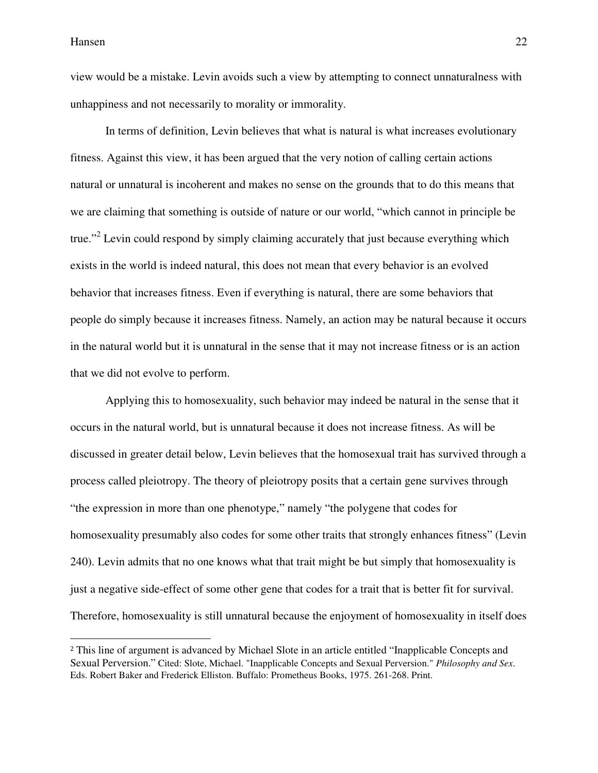$\overline{\phantom{a}}$ 

view would be a mistake. Levin avoids such a view by attempting to connect unnaturalness with unhappiness and not necessarily to morality or immorality.

 In terms of definition, Levin believes that what is natural is what increases evolutionary fitness. Against this view, it has been argued that the very notion of calling certain actions natural or unnatural is incoherent and makes no sense on the grounds that to do this means that we are claiming that something is outside of nature or our world, "which cannot in principle be true."<sup>2</sup> Levin could respond by simply claiming accurately that just because everything which exists in the world is indeed natural, this does not mean that every behavior is an evolved behavior that increases fitness. Even if everything is natural, there are some behaviors that people do simply because it increases fitness. Namely, an action may be natural because it occurs in the natural world but it is unnatural in the sense that it may not increase fitness or is an action that we did not evolve to perform.

 Applying this to homosexuality, such behavior may indeed be natural in the sense that it occurs in the natural world, but is unnatural because it does not increase fitness. As will be discussed in greater detail below, Levin believes that the homosexual trait has survived through a process called pleiotropy. The theory of pleiotropy posits that a certain gene survives through "the expression in more than one phenotype," namely "the polygene that codes for homosexuality presumably also codes for some other traits that strongly enhances fitness" (Levin 240). Levin admits that no one knows what that trait might be but simply that homosexuality is just a negative side-effect of some other gene that codes for a trait that is better fit for survival. Therefore, homosexuality is still unnatural because the enjoyment of homosexuality in itself does

<sup>2</sup> This line of argument is advanced by Michael Slote in an article entitled "Inapplicable Concepts and Sexual Perversion." Cited: Slote, Michael. "Inapplicable Concepts and Sexual Perversion." *Philosophy and Sex*. Eds. Robert Baker and Frederick Elliston. Buffalo: Prometheus Books, 1975. 261-268. Print.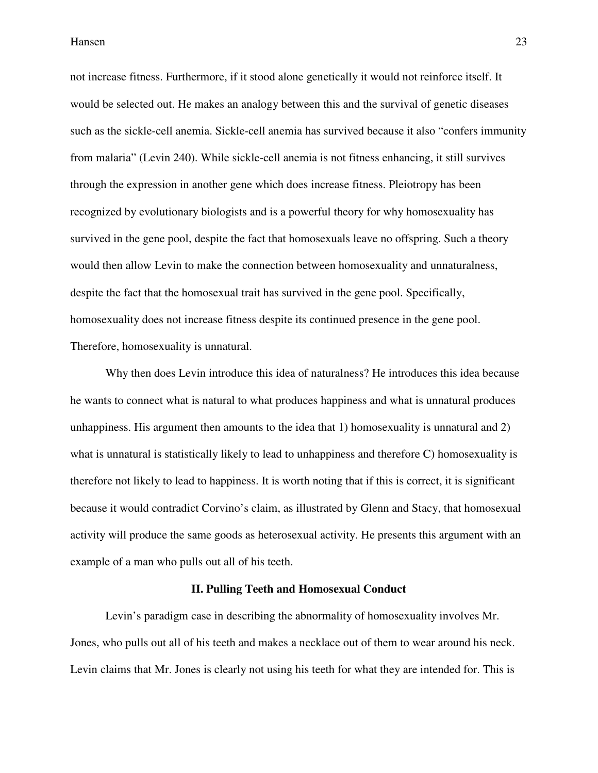not increase fitness. Furthermore, if it stood alone genetically it would not reinforce itself. It would be selected out. He makes an analogy between this and the survival of genetic diseases such as the sickle-cell anemia. Sickle-cell anemia has survived because it also "confers immunity from malaria" (Levin 240). While sickle-cell anemia is not fitness enhancing, it still survives through the expression in another gene which does increase fitness. Pleiotropy has been recognized by evolutionary biologists and is a powerful theory for why homosexuality has survived in the gene pool, despite the fact that homosexuals leave no offspring. Such a theory would then allow Levin to make the connection between homosexuality and unnaturalness, despite the fact that the homosexual trait has survived in the gene pool. Specifically, homosexuality does not increase fitness despite its continued presence in the gene pool. Therefore, homosexuality is unnatural.

 Why then does Levin introduce this idea of naturalness? He introduces this idea because he wants to connect what is natural to what produces happiness and what is unnatural produces unhappiness. His argument then amounts to the idea that 1) homosexuality is unnatural and 2) what is unnatural is statistically likely to lead to unhappiness and therefore C) homosexuality is therefore not likely to lead to happiness. It is worth noting that if this is correct, it is significant because it would contradict Corvino's claim, as illustrated by Glenn and Stacy, that homosexual activity will produce the same goods as heterosexual activity. He presents this argument with an example of a man who pulls out all of his teeth.

#### **II. Pulling Teeth and Homosexual Conduct**

 Levin's paradigm case in describing the abnormality of homosexuality involves Mr. Jones, who pulls out all of his teeth and makes a necklace out of them to wear around his neck. Levin claims that Mr. Jones is clearly not using his teeth for what they are intended for. This is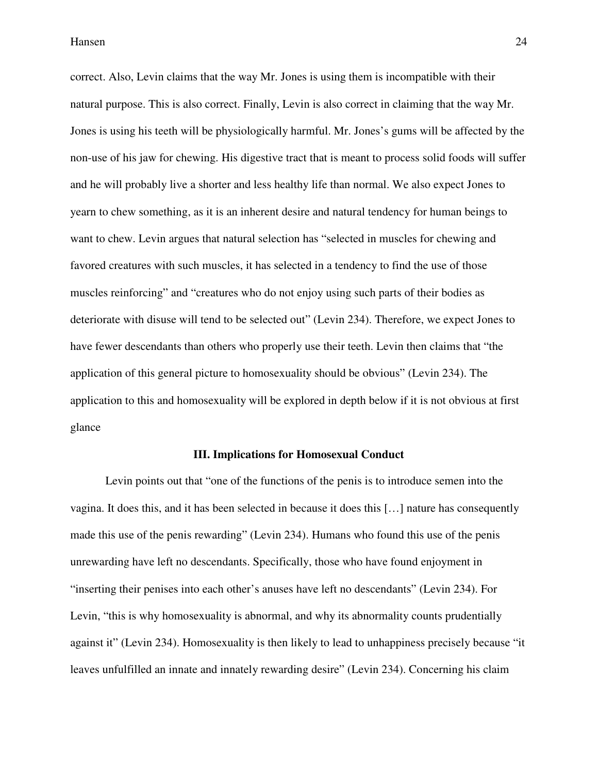correct. Also, Levin claims that the way Mr. Jones is using them is incompatible with their natural purpose. This is also correct. Finally, Levin is also correct in claiming that the way Mr. Jones is using his teeth will be physiologically harmful. Mr. Jones's gums will be affected by the non-use of his jaw for chewing. His digestive tract that is meant to process solid foods will suffer and he will probably live a shorter and less healthy life than normal. We also expect Jones to yearn to chew something, as it is an inherent desire and natural tendency for human beings to want to chew. Levin argues that natural selection has "selected in muscles for chewing and favored creatures with such muscles, it has selected in a tendency to find the use of those muscles reinforcing" and "creatures who do not enjoy using such parts of their bodies as deteriorate with disuse will tend to be selected out" (Levin 234). Therefore, we expect Jones to have fewer descendants than others who properly use their teeth. Levin then claims that "the application of this general picture to homosexuality should be obvious" (Levin 234). The application to this and homosexuality will be explored in depth below if it is not obvious at first glance

#### **III. Implications for Homosexual Conduct**

 Levin points out that "one of the functions of the penis is to introduce semen into the vagina. It does this, and it has been selected in because it does this […] nature has consequently made this use of the penis rewarding" (Levin 234). Humans who found this use of the penis unrewarding have left no descendants. Specifically, those who have found enjoyment in "inserting their penises into each other's anuses have left no descendants" (Levin 234). For Levin, "this is why homosexuality is abnormal, and why its abnormality counts prudentially against it" (Levin 234). Homosexuality is then likely to lead to unhappiness precisely because "it leaves unfulfilled an innate and innately rewarding desire" (Levin 234). Concerning his claim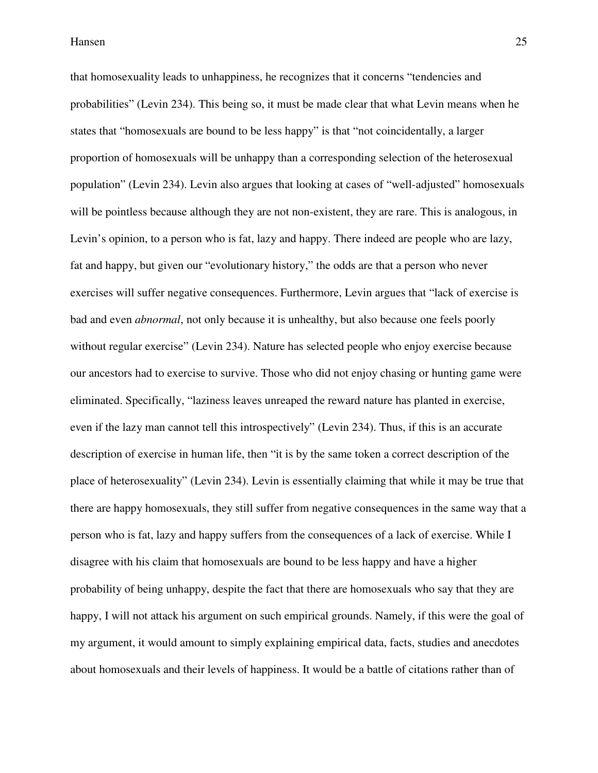that homosexuality leads to unhappiness, he recognizes that it concerns "tendencies and probabilities" (Levin 234). This being so, it must be made clear that what Levin means when he states that "homosexuals are bound to be less happy" is that "not coincidentally, a larger proportion of homosexuals will be unhappy than a corresponding selection of the heterosexual population" (Levin 234). Levin also argues that looking at cases of "well-adjusted" homosexuals will be pointless because although they are not non-existent, they are rare. This is analogous, in Levin's opinion, to a person who is fat, lazy and happy. There indeed are people who are lazy, fat and happy, but given our "evolutionary history," the odds are that a person who never exercises will suffer negative consequences. Furthermore, Levin argues that "lack of exercise is bad and even *abnormal*, not only because it is unhealthy, but also because one feels poorly without regular exercise" (Levin 234). Nature has selected people who enjoy exercise because our ancestors had to exercise to survive. Those who did not enjoy chasing or hunting game were eliminated. Specifically, "laziness leaves unreaped the reward nature has planted in exercise, even if the lazy man cannot tell this introspectively" (Levin 234). Thus, if this is an accurate description of exercise in human life, then "it is by the same token a correct description of the place of heterosexuality" (Levin 234). Levin is essentially claiming that while it may be true that there are happy homosexuals, they still suffer from negative consequences in the same way that a person who is fat, lazy and happy suffers from the consequences of a lack of exercise. While I disagree with his claim that homosexuals are bound to be less happy and have a higher probability of being unhappy, despite the fact that there are homosexuals who say that they are happy, I will not attack his argument on such empirical grounds. Namely, if this were the goal of my argument, it would amount to simply explaining empirical data, facts, studies and anecdotes about homosexuals and their levels of happiness. It would be a battle of citations rather than of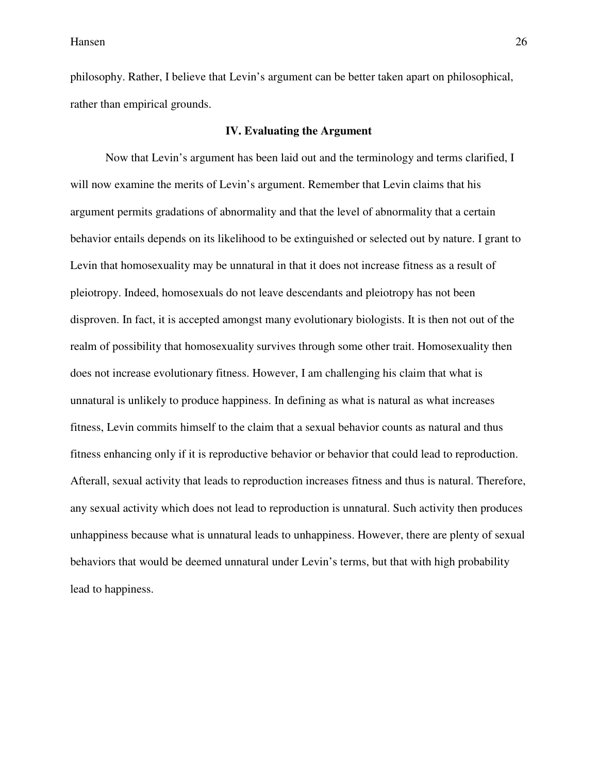philosophy. Rather, I believe that Levin's argument can be better taken apart on philosophical, rather than empirical grounds.

#### **IV. Evaluating the Argument**

 Now that Levin's argument has been laid out and the terminology and terms clarified, I will now examine the merits of Levin's argument. Remember that Levin claims that his argument permits gradations of abnormality and that the level of abnormality that a certain behavior entails depends on its likelihood to be extinguished or selected out by nature. I grant to Levin that homosexuality may be unnatural in that it does not increase fitness as a result of pleiotropy. Indeed, homosexuals do not leave descendants and pleiotropy has not been disproven. In fact, it is accepted amongst many evolutionary biologists. It is then not out of the realm of possibility that homosexuality survives through some other trait. Homosexuality then does not increase evolutionary fitness. However, I am challenging his claim that what is unnatural is unlikely to produce happiness. In defining as what is natural as what increases fitness, Levin commits himself to the claim that a sexual behavior counts as natural and thus fitness enhancing only if it is reproductive behavior or behavior that could lead to reproduction. Afterall, sexual activity that leads to reproduction increases fitness and thus is natural. Therefore, any sexual activity which does not lead to reproduction is unnatural. Such activity then produces unhappiness because what is unnatural leads to unhappiness. However, there are plenty of sexual behaviors that would be deemed unnatural under Levin's terms, but that with high probability lead to happiness.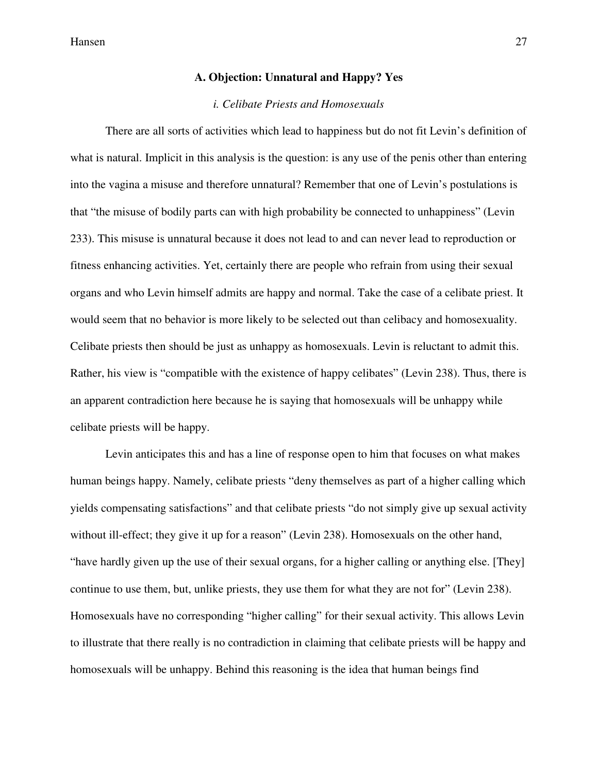#### **A. Objection: Unnatural and Happy? Yes**

#### *i. Celibate Priests and Homosexuals*

 There are all sorts of activities which lead to happiness but do not fit Levin's definition of what is natural. Implicit in this analysis is the question: is any use of the penis other than entering into the vagina a misuse and therefore unnatural? Remember that one of Levin's postulations is that "the misuse of bodily parts can with high probability be connected to unhappiness" (Levin 233). This misuse is unnatural because it does not lead to and can never lead to reproduction or fitness enhancing activities. Yet, certainly there are people who refrain from using their sexual organs and who Levin himself admits are happy and normal. Take the case of a celibate priest. It would seem that no behavior is more likely to be selected out than celibacy and homosexuality. Celibate priests then should be just as unhappy as homosexuals. Levin is reluctant to admit this. Rather, his view is "compatible with the existence of happy celibates" (Levin 238). Thus, there is an apparent contradiction here because he is saying that homosexuals will be unhappy while celibate priests will be happy.

 Levin anticipates this and has a line of response open to him that focuses on what makes human beings happy. Namely, celibate priests "deny themselves as part of a higher calling which yields compensating satisfactions" and that celibate priests "do not simply give up sexual activity without ill-effect; they give it up for a reason" (Levin 238). Homosexuals on the other hand, "have hardly given up the use of their sexual organs, for a higher calling or anything else. [They] continue to use them, but, unlike priests, they use them for what they are not for" (Levin 238). Homosexuals have no corresponding "higher calling" for their sexual activity. This allows Levin to illustrate that there really is no contradiction in claiming that celibate priests will be happy and homosexuals will be unhappy. Behind this reasoning is the idea that human beings find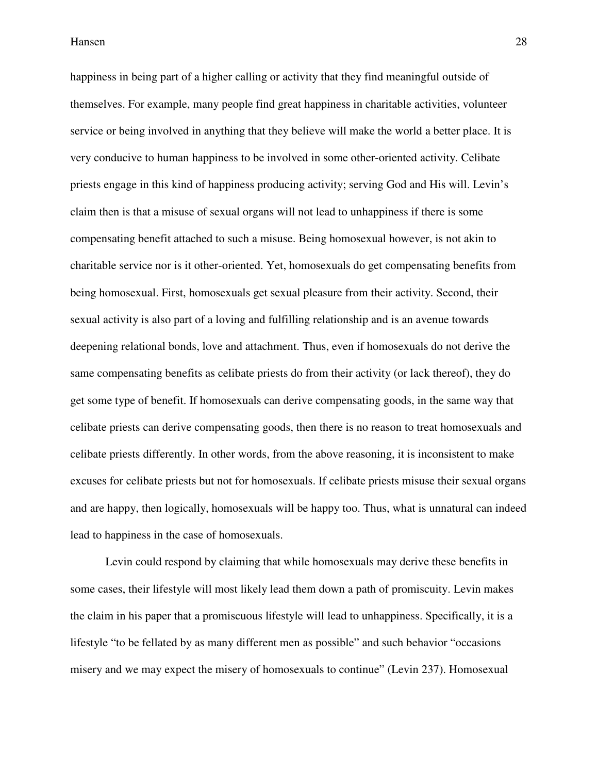happiness in being part of a higher calling or activity that they find meaningful outside of themselves. For example, many people find great happiness in charitable activities, volunteer service or being involved in anything that they believe will make the world a better place. It is very conducive to human happiness to be involved in some other-oriented activity. Celibate priests engage in this kind of happiness producing activity; serving God and His will. Levin's claim then is that a misuse of sexual organs will not lead to unhappiness if there is some compensating benefit attached to such a misuse. Being homosexual however, is not akin to charitable service nor is it other-oriented. Yet, homosexuals do get compensating benefits from being homosexual. First, homosexuals get sexual pleasure from their activity. Second, their sexual activity is also part of a loving and fulfilling relationship and is an avenue towards deepening relational bonds, love and attachment. Thus, even if homosexuals do not derive the same compensating benefits as celibate priests do from their activity (or lack thereof), they do get some type of benefit. If homosexuals can derive compensating goods, in the same way that celibate priests can derive compensating goods, then there is no reason to treat homosexuals and celibate priests differently. In other words, from the above reasoning, it is inconsistent to make excuses for celibate priests but not for homosexuals. If celibate priests misuse their sexual organs and are happy, then logically, homosexuals will be happy too. Thus, what is unnatural can indeed lead to happiness in the case of homosexuals.

 Levin could respond by claiming that while homosexuals may derive these benefits in some cases, their lifestyle will most likely lead them down a path of promiscuity. Levin makes the claim in his paper that a promiscuous lifestyle will lead to unhappiness. Specifically, it is a lifestyle "to be fellated by as many different men as possible" and such behavior "occasions misery and we may expect the misery of homosexuals to continue" (Levin 237). Homosexual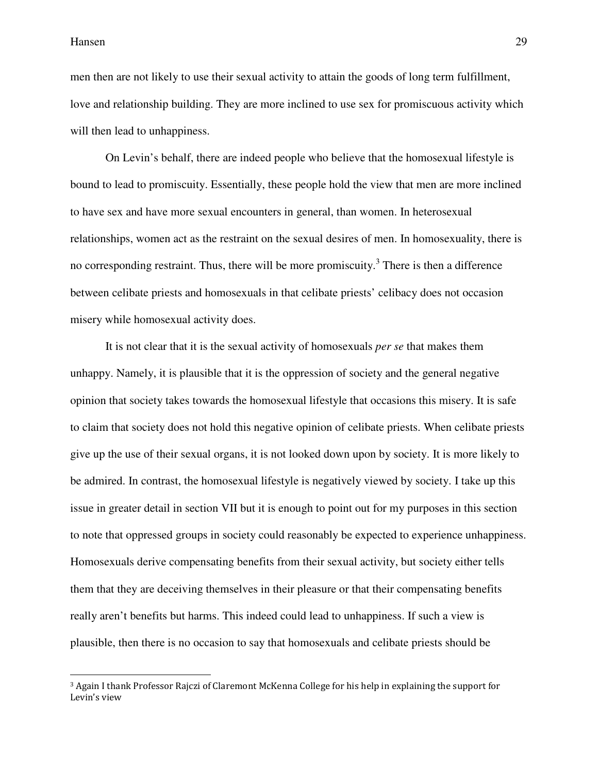$\overline{\phantom{a}}$ 

men then are not likely to use their sexual activity to attain the goods of long term fulfillment, love and relationship building. They are more inclined to use sex for promiscuous activity which will then lead to unhappiness.

 On Levin's behalf, there are indeed people who believe that the homosexual lifestyle is bound to lead to promiscuity. Essentially, these people hold the view that men are more inclined to have sex and have more sexual encounters in general, than women. In heterosexual relationships, women act as the restraint on the sexual desires of men. In homosexuality, there is no corresponding restraint. Thus, there will be more promiscuity.<sup>3</sup> There is then a difference between celibate priests and homosexuals in that celibate priests' celibacy does not occasion misery while homosexual activity does.

 It is not clear that it is the sexual activity of homosexuals *per se* that makes them unhappy. Namely, it is plausible that it is the oppression of society and the general negative opinion that society takes towards the homosexual lifestyle that occasions this misery. It is safe to claim that society does not hold this negative opinion of celibate priests. When celibate priests give up the use of their sexual organs, it is not looked down upon by society. It is more likely to be admired. In contrast, the homosexual lifestyle is negatively viewed by society. I take up this issue in greater detail in section VII but it is enough to point out for my purposes in this section to note that oppressed groups in society could reasonably be expected to experience unhappiness. Homosexuals derive compensating benefits from their sexual activity, but society either tells them that they are deceiving themselves in their pleasure or that their compensating benefits really aren't benefits but harms. This indeed could lead to unhappiness. If such a view is plausible, then there is no occasion to say that homosexuals and celibate priests should be

<sup>3</sup> Again I thank Professor Rajczi of Claremont McKenna College for his help in explaining the support for Levin's view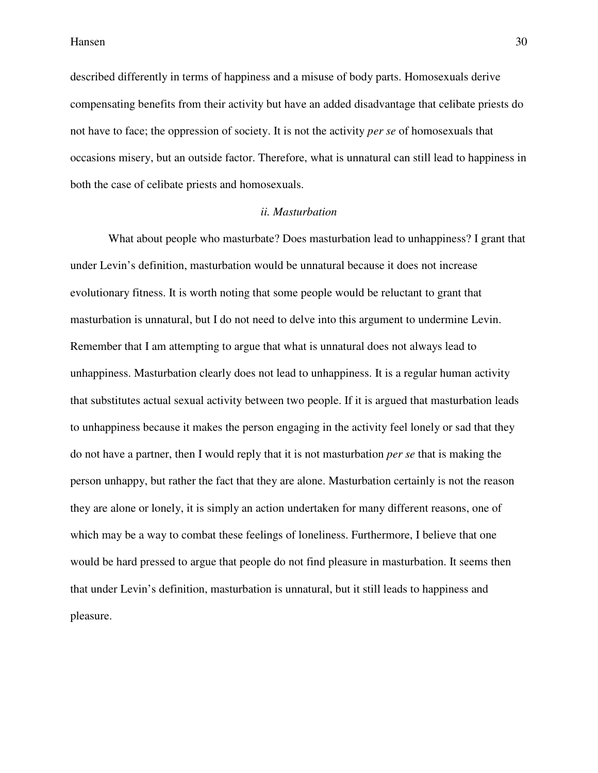described differently in terms of happiness and a misuse of body parts. Homosexuals derive compensating benefits from their activity but have an added disadvantage that celibate priests do not have to face; the oppression of society. It is not the activity *per se* of homosexuals that occasions misery, but an outside factor. Therefore, what is unnatural can still lead to happiness in both the case of celibate priests and homosexuals.

#### *ii. Masturbation*

 What about people who masturbate? Does masturbation lead to unhappiness? I grant that under Levin's definition, masturbation would be unnatural because it does not increase evolutionary fitness. It is worth noting that some people would be reluctant to grant that masturbation is unnatural, but I do not need to delve into this argument to undermine Levin. Remember that I am attempting to argue that what is unnatural does not always lead to unhappiness. Masturbation clearly does not lead to unhappiness. It is a regular human activity that substitutes actual sexual activity between two people. If it is argued that masturbation leads to unhappiness because it makes the person engaging in the activity feel lonely or sad that they do not have a partner, then I would reply that it is not masturbation *per se* that is making the person unhappy, but rather the fact that they are alone. Masturbation certainly is not the reason they are alone or lonely, it is simply an action undertaken for many different reasons, one of which may be a way to combat these feelings of loneliness. Furthermore, I believe that one would be hard pressed to argue that people do not find pleasure in masturbation. It seems then that under Levin's definition, masturbation is unnatural, but it still leads to happiness and pleasure.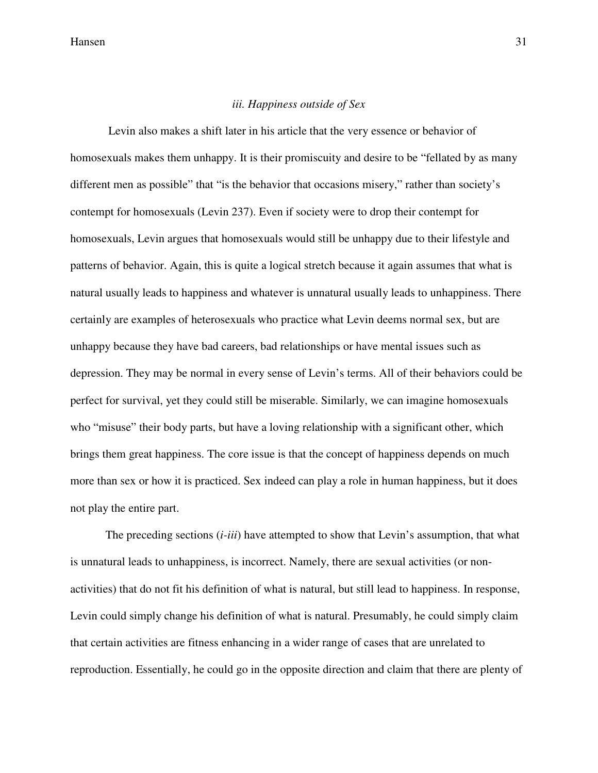#### *iii. Happiness outside of Sex*

 Levin also makes a shift later in his article that the very essence or behavior of homosexuals makes them unhappy. It is their promiscuity and desire to be "fellated by as many different men as possible" that "is the behavior that occasions misery," rather than society's contempt for homosexuals (Levin 237). Even if society were to drop their contempt for homosexuals, Levin argues that homosexuals would still be unhappy due to their lifestyle and patterns of behavior. Again, this is quite a logical stretch because it again assumes that what is natural usually leads to happiness and whatever is unnatural usually leads to unhappiness. There certainly are examples of heterosexuals who practice what Levin deems normal sex, but are unhappy because they have bad careers, bad relationships or have mental issues such as depression. They may be normal in every sense of Levin's terms. All of their behaviors could be perfect for survival, yet they could still be miserable. Similarly, we can imagine homosexuals who "misuse" their body parts, but have a loving relationship with a significant other, which brings them great happiness. The core issue is that the concept of happiness depends on much more than sex or how it is practiced. Sex indeed can play a role in human happiness, but it does not play the entire part.

 The preceding sections (*i-iii*) have attempted to show that Levin's assumption, that what is unnatural leads to unhappiness, is incorrect. Namely, there are sexual activities (or nonactivities) that do not fit his definition of what is natural, but still lead to happiness. In response, Levin could simply change his definition of what is natural. Presumably, he could simply claim that certain activities are fitness enhancing in a wider range of cases that are unrelated to reproduction. Essentially, he could go in the opposite direction and claim that there are plenty of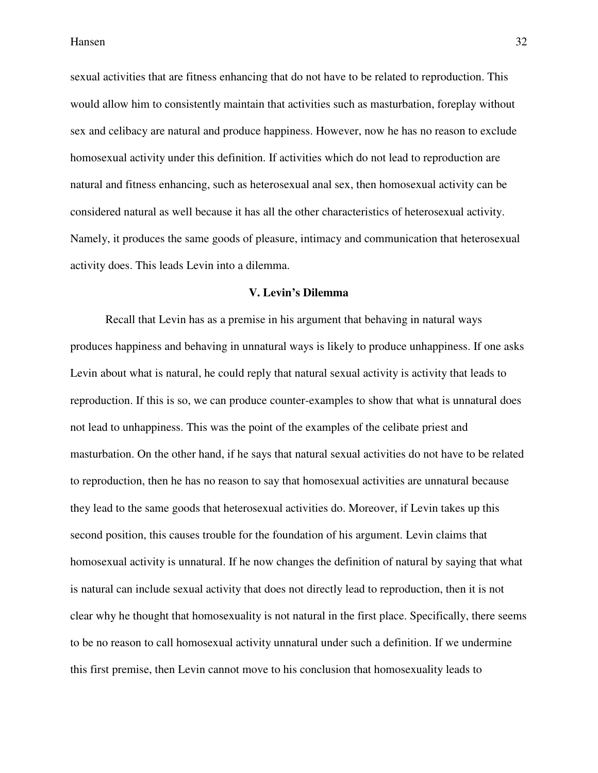sexual activities that are fitness enhancing that do not have to be related to reproduction. This would allow him to consistently maintain that activities such as masturbation, foreplay without sex and celibacy are natural and produce happiness. However, now he has no reason to exclude homosexual activity under this definition. If activities which do not lead to reproduction are natural and fitness enhancing, such as heterosexual anal sex, then homosexual activity can be considered natural as well because it has all the other characteristics of heterosexual activity. Namely, it produces the same goods of pleasure, intimacy and communication that heterosexual activity does. This leads Levin into a dilemma.

#### **V. Levin's Dilemma**

 Recall that Levin has as a premise in his argument that behaving in natural ways produces happiness and behaving in unnatural ways is likely to produce unhappiness. If one asks Levin about what is natural, he could reply that natural sexual activity is activity that leads to reproduction. If this is so, we can produce counter-examples to show that what is unnatural does not lead to unhappiness. This was the point of the examples of the celibate priest and masturbation. On the other hand, if he says that natural sexual activities do not have to be related to reproduction, then he has no reason to say that homosexual activities are unnatural because they lead to the same goods that heterosexual activities do. Moreover, if Levin takes up this second position, this causes trouble for the foundation of his argument. Levin claims that homosexual activity is unnatural. If he now changes the definition of natural by saying that what is natural can include sexual activity that does not directly lead to reproduction, then it is not clear why he thought that homosexuality is not natural in the first place. Specifically, there seems to be no reason to call homosexual activity unnatural under such a definition. If we undermine this first premise, then Levin cannot move to his conclusion that homosexuality leads to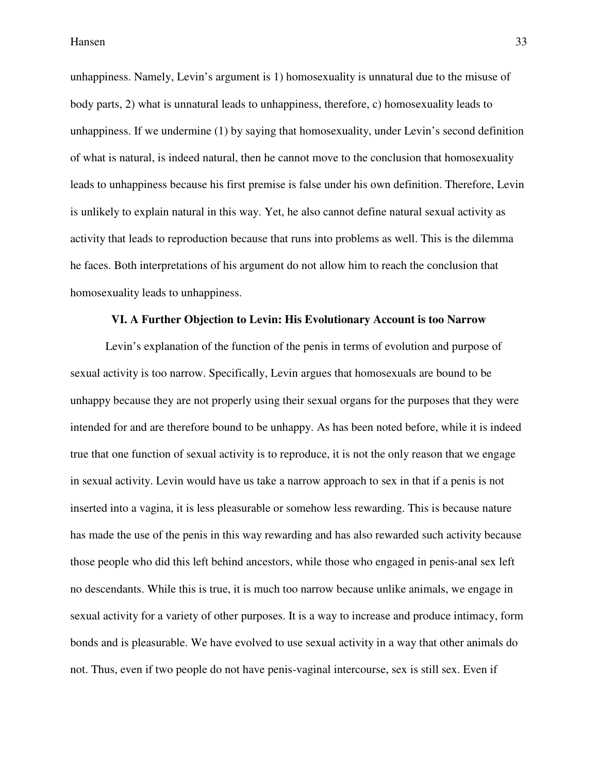unhappiness. Namely, Levin's argument is 1) homosexuality is unnatural due to the misuse of body parts, 2) what is unnatural leads to unhappiness, therefore, c) homosexuality leads to unhappiness. If we undermine (1) by saying that homosexuality, under Levin's second definition of what is natural, is indeed natural, then he cannot move to the conclusion that homosexuality leads to unhappiness because his first premise is false under his own definition. Therefore, Levin is unlikely to explain natural in this way. Yet, he also cannot define natural sexual activity as activity that leads to reproduction because that runs into problems as well. This is the dilemma he faces. Both interpretations of his argument do not allow him to reach the conclusion that homosexuality leads to unhappiness.

#### **VI. A Further Objection to Levin: His Evolutionary Account is too Narrow**

 Levin's explanation of the function of the penis in terms of evolution and purpose of sexual activity is too narrow. Specifically, Levin argues that homosexuals are bound to be unhappy because they are not properly using their sexual organs for the purposes that they were intended for and are therefore bound to be unhappy. As has been noted before, while it is indeed true that one function of sexual activity is to reproduce, it is not the only reason that we engage in sexual activity. Levin would have us take a narrow approach to sex in that if a penis is not inserted into a vagina, it is less pleasurable or somehow less rewarding. This is because nature has made the use of the penis in this way rewarding and has also rewarded such activity because those people who did this left behind ancestors, while those who engaged in penis-anal sex left no descendants. While this is true, it is much too narrow because unlike animals, we engage in sexual activity for a variety of other purposes. It is a way to increase and produce intimacy, form bonds and is pleasurable. We have evolved to use sexual activity in a way that other animals do not. Thus, even if two people do not have penis-vaginal intercourse, sex is still sex. Even if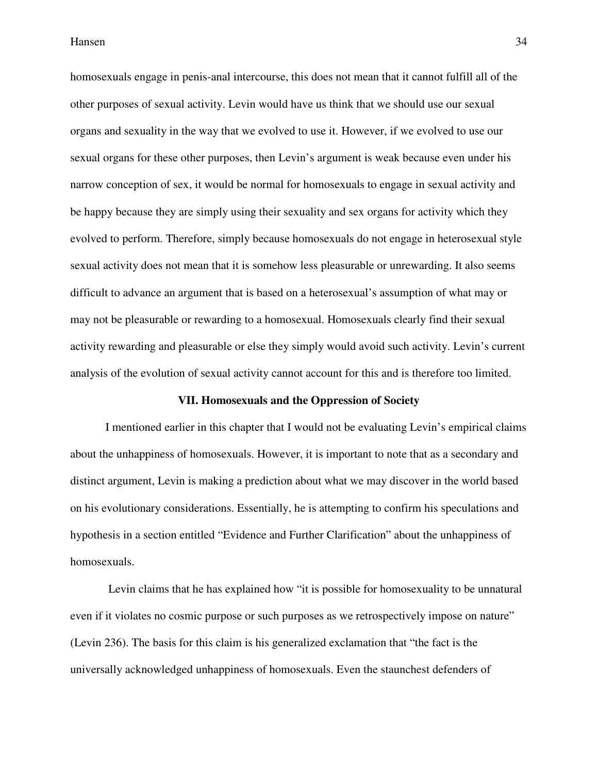homosexuals engage in penis-anal intercourse, this does not mean that it cannot fulfill all of the other purposes of sexual activity. Levin would have us think that we should use our sexual organs and sexuality in the way that we evolved to use it. However, if we evolved to use our sexual organs for these other purposes, then Levin's argument is weak because even under his narrow conception of sex, it would be normal for homosexuals to engage in sexual activity and be happy because they are simply using their sexuality and sex organs for activity which they evolved to perform. Therefore, simply because homosexuals do not engage in heterosexual style sexual activity does not mean that it is somehow less pleasurable or unrewarding. It also seems difficult to advance an argument that is based on a heterosexual's assumption of what may or may not be pleasurable or rewarding to a homosexual. Homosexuals clearly find their sexual activity rewarding and pleasurable or else they simply would avoid such activity. Levin's current analysis of the evolution of sexual activity cannot account for this and is therefore too limited.

#### **VII. Homosexuals and the Oppression of Society**

 I mentioned earlier in this chapter that I would not be evaluating Levin's empirical claims about the unhappiness of homosexuals. However, it is important to note that as a secondary and distinct argument, Levin is making a prediction about what we may discover in the world based on his evolutionary considerations. Essentially, he is attempting to confirm his speculations and hypothesis in a section entitled "Evidence and Further Clarification" about the unhappiness of homosexuals.

 Levin claims that he has explained how "it is possible for homosexuality to be unnatural even if it violates no cosmic purpose or such purposes as we retrospectively impose on nature" (Levin 236). The basis for this claim is his generalized exclamation that "the fact is the universally acknowledged unhappiness of homosexuals. Even the staunchest defenders of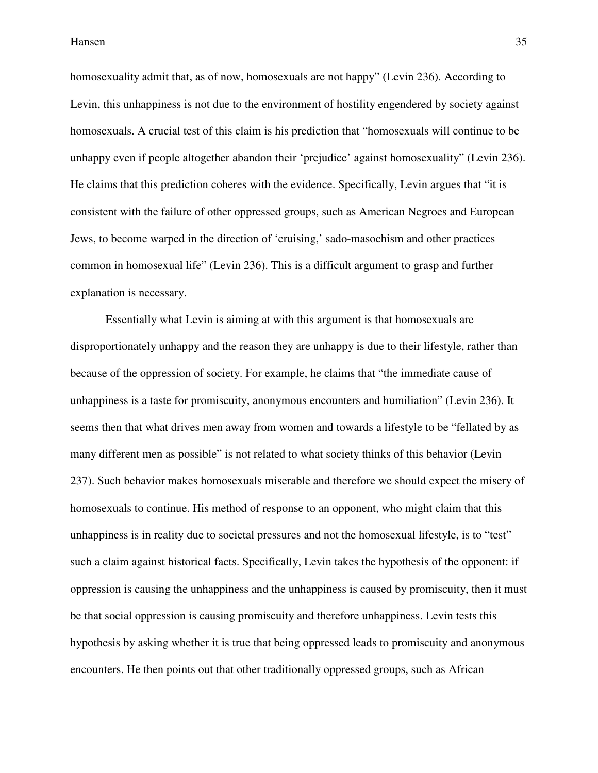homosexuality admit that, as of now, homosexuals are not happy" (Levin 236). According to Levin, this unhappiness is not due to the environment of hostility engendered by society against homosexuals. A crucial test of this claim is his prediction that "homosexuals will continue to be unhappy even if people altogether abandon their 'prejudice' against homosexuality" (Levin 236). He claims that this prediction coheres with the evidence. Specifically, Levin argues that "it is consistent with the failure of other oppressed groups, such as American Negroes and European Jews, to become warped in the direction of 'cruising,' sado-masochism and other practices common in homosexual life" (Levin 236). This is a difficult argument to grasp and further explanation is necessary.

 Essentially what Levin is aiming at with this argument is that homosexuals are disproportionately unhappy and the reason they are unhappy is due to their lifestyle, rather than because of the oppression of society. For example, he claims that "the immediate cause of unhappiness is a taste for promiscuity, anonymous encounters and humiliation" (Levin 236). It seems then that what drives men away from women and towards a lifestyle to be "fellated by as many different men as possible" is not related to what society thinks of this behavior (Levin 237). Such behavior makes homosexuals miserable and therefore we should expect the misery of homosexuals to continue. His method of response to an opponent, who might claim that this unhappiness is in reality due to societal pressures and not the homosexual lifestyle, is to "test" such a claim against historical facts. Specifically, Levin takes the hypothesis of the opponent: if oppression is causing the unhappiness and the unhappiness is caused by promiscuity, then it must be that social oppression is causing promiscuity and therefore unhappiness. Levin tests this hypothesis by asking whether it is true that being oppressed leads to promiscuity and anonymous encounters. He then points out that other traditionally oppressed groups, such as African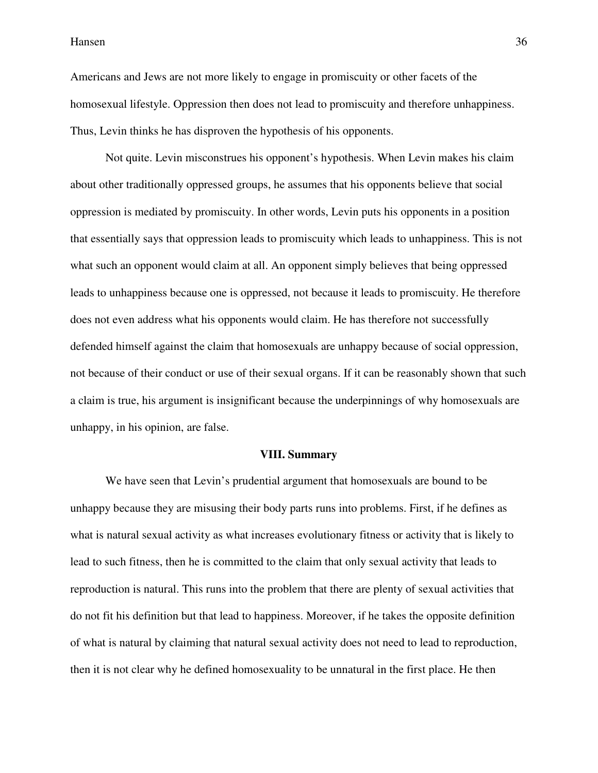Americans and Jews are not more likely to engage in promiscuity or other facets of the homosexual lifestyle. Oppression then does not lead to promiscuity and therefore unhappiness. Thus, Levin thinks he has disproven the hypothesis of his opponents.

 Not quite. Levin misconstrues his opponent's hypothesis. When Levin makes his claim about other traditionally oppressed groups, he assumes that his opponents believe that social oppression is mediated by promiscuity. In other words, Levin puts his opponents in a position that essentially says that oppression leads to promiscuity which leads to unhappiness. This is not what such an opponent would claim at all. An opponent simply believes that being oppressed leads to unhappiness because one is oppressed, not because it leads to promiscuity. He therefore does not even address what his opponents would claim. He has therefore not successfully defended himself against the claim that homosexuals are unhappy because of social oppression, not because of their conduct or use of their sexual organs. If it can be reasonably shown that such a claim is true, his argument is insignificant because the underpinnings of why homosexuals are unhappy, in his opinion, are false.

#### **VIII. Summary**

 We have seen that Levin's prudential argument that homosexuals are bound to be unhappy because they are misusing their body parts runs into problems. First, if he defines as what is natural sexual activity as what increases evolutionary fitness or activity that is likely to lead to such fitness, then he is committed to the claim that only sexual activity that leads to reproduction is natural. This runs into the problem that there are plenty of sexual activities that do not fit his definition but that lead to happiness. Moreover, if he takes the opposite definition of what is natural by claiming that natural sexual activity does not need to lead to reproduction, then it is not clear why he defined homosexuality to be unnatural in the first place. He then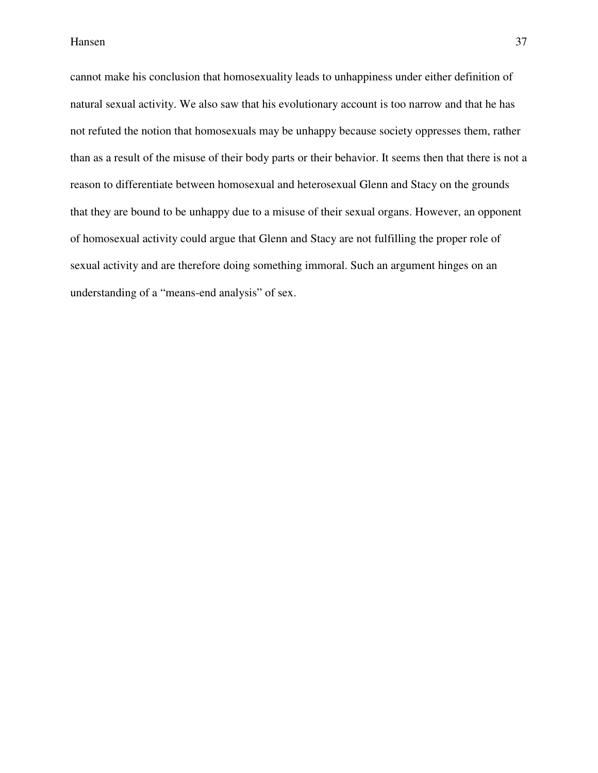cannot make his conclusion that homosexuality leads to unhappiness under either definition of natural sexual activity. We also saw that his evolutionary account is too narrow and that he has not refuted the notion that homosexuals may be unhappy because society oppresses them, rather than as a result of the misuse of their body parts or their behavior. It seems then that there is not a reason to differentiate between homosexual and heterosexual Glenn and Stacy on the grounds that they are bound to be unhappy due to a misuse of their sexual organs. However, an opponent of homosexual activity could argue that Glenn and Stacy are not fulfilling the proper role of sexual activity and are therefore doing something immoral. Such an argument hinges on an understanding of a "means-end analysis" of sex.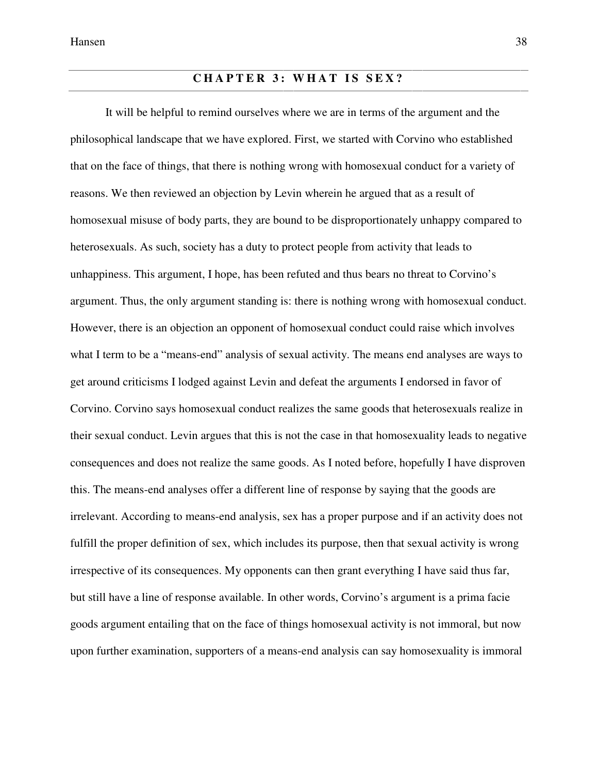# **CHAPTER 3: WHAT IS SEX?**

 It will be helpful to remind ourselves where we are in terms of the argument and the philosophical landscape that we have explored. First, we started with Corvino who established that on the face of things, that there is nothing wrong with homosexual conduct for a variety of reasons. We then reviewed an objection by Levin wherein he argued that as a result of homosexual misuse of body parts, they are bound to be disproportionately unhappy compared to heterosexuals. As such, society has a duty to protect people from activity that leads to unhappiness. This argument, I hope, has been refuted and thus bears no threat to Corvino's argument. Thus, the only argument standing is: there is nothing wrong with homosexual conduct. However, there is an objection an opponent of homosexual conduct could raise which involves what I term to be a "means-end" analysis of sexual activity. The means end analyses are ways to get around criticisms I lodged against Levin and defeat the arguments I endorsed in favor of Corvino. Corvino says homosexual conduct realizes the same goods that heterosexuals realize in their sexual conduct. Levin argues that this is not the case in that homosexuality leads to negative consequences and does not realize the same goods. As I noted before, hopefully I have disproven this. The means-end analyses offer a different line of response by saying that the goods are irrelevant. According to means-end analysis, sex has a proper purpose and if an activity does not fulfill the proper definition of sex, which includes its purpose, then that sexual activity is wrong irrespective of its consequences. My opponents can then grant everything I have said thus far, but still have a line of response available. In other words, Corvino's argument is a prima facie goods argument entailing that on the face of things homosexual activity is not immoral, but now upon further examination, supporters of a means-end analysis can say homosexuality is immoral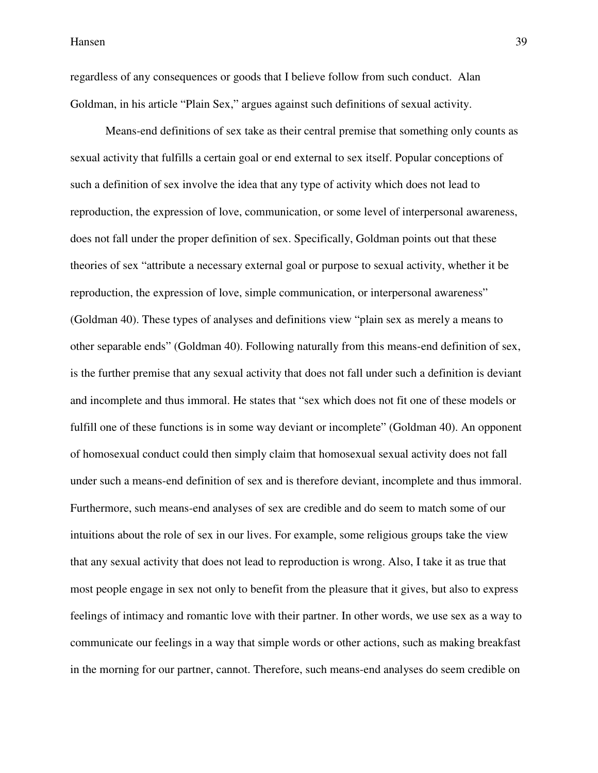regardless of any consequences or goods that I believe follow from such conduct. Alan Goldman, in his article "Plain Sex," argues against such definitions of sexual activity.

 Means-end definitions of sex take as their central premise that something only counts as sexual activity that fulfills a certain goal or end external to sex itself. Popular conceptions of such a definition of sex involve the idea that any type of activity which does not lead to reproduction, the expression of love, communication, or some level of interpersonal awareness, does not fall under the proper definition of sex. Specifically, Goldman points out that these theories of sex "attribute a necessary external goal or purpose to sexual activity, whether it be reproduction, the expression of love, simple communication, or interpersonal awareness" (Goldman 40). These types of analyses and definitions view "plain sex as merely a means to other separable ends" (Goldman 40). Following naturally from this means-end definition of sex, is the further premise that any sexual activity that does not fall under such a definition is deviant and incomplete and thus immoral. He states that "sex which does not fit one of these models or fulfill one of these functions is in some way deviant or incomplete" (Goldman 40). An opponent of homosexual conduct could then simply claim that homosexual sexual activity does not fall under such a means-end definition of sex and is therefore deviant, incomplete and thus immoral. Furthermore, such means-end analyses of sex are credible and do seem to match some of our intuitions about the role of sex in our lives. For example, some religious groups take the view that any sexual activity that does not lead to reproduction is wrong. Also, I take it as true that most people engage in sex not only to benefit from the pleasure that it gives, but also to express feelings of intimacy and romantic love with their partner. In other words, we use sex as a way to communicate our feelings in a way that simple words or other actions, such as making breakfast in the morning for our partner, cannot. Therefore, such means-end analyses do seem credible on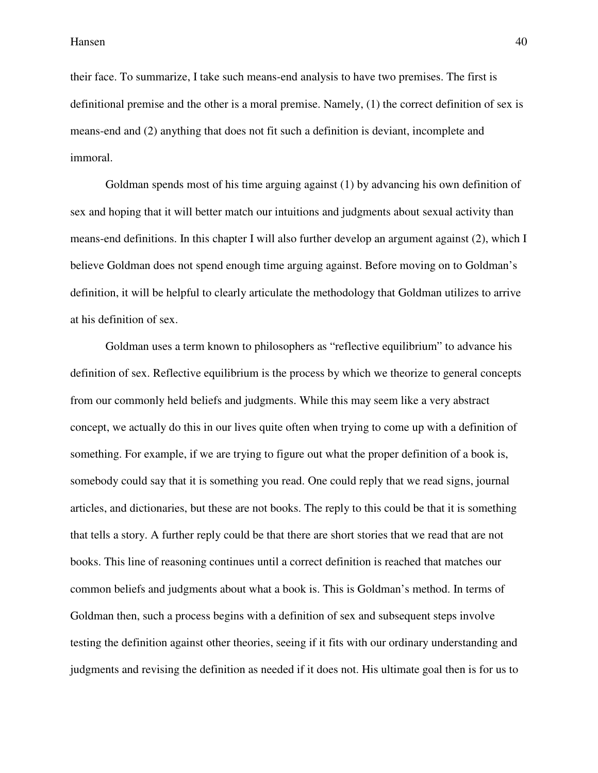their face. To summarize, I take such means-end analysis to have two premises. The first is definitional premise and the other is a moral premise. Namely, (1) the correct definition of sex is means-end and (2) anything that does not fit such a definition is deviant, incomplete and immoral.

 Goldman spends most of his time arguing against (1) by advancing his own definition of sex and hoping that it will better match our intuitions and judgments about sexual activity than means-end definitions. In this chapter I will also further develop an argument against (2), which I believe Goldman does not spend enough time arguing against. Before moving on to Goldman's definition, it will be helpful to clearly articulate the methodology that Goldman utilizes to arrive at his definition of sex.

 Goldman uses a term known to philosophers as "reflective equilibrium" to advance his definition of sex. Reflective equilibrium is the process by which we theorize to general concepts from our commonly held beliefs and judgments. While this may seem like a very abstract concept, we actually do this in our lives quite often when trying to come up with a definition of something. For example, if we are trying to figure out what the proper definition of a book is, somebody could say that it is something you read. One could reply that we read signs, journal articles, and dictionaries, but these are not books. The reply to this could be that it is something that tells a story. A further reply could be that there are short stories that we read that are not books. This line of reasoning continues until a correct definition is reached that matches our common beliefs and judgments about what a book is. This is Goldman's method. In terms of Goldman then, such a process begins with a definition of sex and subsequent steps involve testing the definition against other theories, seeing if it fits with our ordinary understanding and judgments and revising the definition as needed if it does not. His ultimate goal then is for us to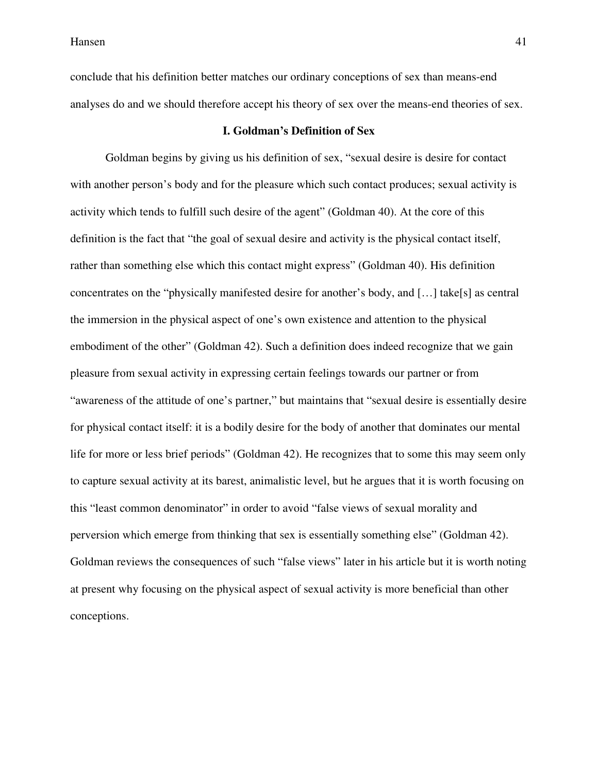conclude that his definition better matches our ordinary conceptions of sex than means-end analyses do and we should therefore accept his theory of sex over the means-end theories of sex.

# **I. Goldman's Definition of Sex**

 Goldman begins by giving us his definition of sex, "sexual desire is desire for contact with another person's body and for the pleasure which such contact produces; sexual activity is activity which tends to fulfill such desire of the agent" (Goldman 40). At the core of this definition is the fact that "the goal of sexual desire and activity is the physical contact itself, rather than something else which this contact might express" (Goldman 40). His definition concentrates on the "physically manifested desire for another's body, and […] take[s] as central the immersion in the physical aspect of one's own existence and attention to the physical embodiment of the other" (Goldman 42). Such a definition does indeed recognize that we gain pleasure from sexual activity in expressing certain feelings towards our partner or from "awareness of the attitude of one's partner," but maintains that "sexual desire is essentially desire for physical contact itself: it is a bodily desire for the body of another that dominates our mental life for more or less brief periods" (Goldman 42). He recognizes that to some this may seem only to capture sexual activity at its barest, animalistic level, but he argues that it is worth focusing on this "least common denominator" in order to avoid "false views of sexual morality and perversion which emerge from thinking that sex is essentially something else" (Goldman 42). Goldman reviews the consequences of such "false views" later in his article but it is worth noting at present why focusing on the physical aspect of sexual activity is more beneficial than other conceptions.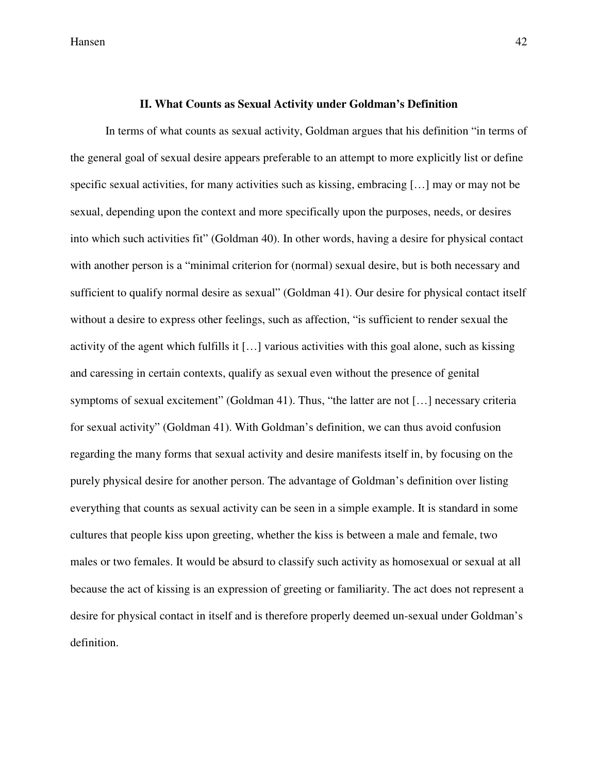Hansen and the set of the set of the set of the set of the set of the set of the set of the set of the set of the set of the set of the set of the set of the set of the set of the set of the set of the set of the set of th

#### **II. What Counts as Sexual Activity under Goldman's Definition**

 In terms of what counts as sexual activity, Goldman argues that his definition "in terms of the general goal of sexual desire appears preferable to an attempt to more explicitly list or define specific sexual activities, for many activities such as kissing, embracing […] may or may not be sexual, depending upon the context and more specifically upon the purposes, needs, or desires into which such activities fit" (Goldman 40). In other words, having a desire for physical contact with another person is a "minimal criterion for (normal) sexual desire, but is both necessary and sufficient to qualify normal desire as sexual" (Goldman 41). Our desire for physical contact itself without a desire to express other feelings, such as affection, "is sufficient to render sexual the activity of the agent which fulfills it […] various activities with this goal alone, such as kissing and caressing in certain contexts, qualify as sexual even without the presence of genital symptoms of sexual excitement" (Goldman 41). Thus, "the latter are not [...] necessary criteria for sexual activity" (Goldman 41). With Goldman's definition, we can thus avoid confusion regarding the many forms that sexual activity and desire manifests itself in, by focusing on the purely physical desire for another person. The advantage of Goldman's definition over listing everything that counts as sexual activity can be seen in a simple example. It is standard in some cultures that people kiss upon greeting, whether the kiss is between a male and female, two males or two females. It would be absurd to classify such activity as homosexual or sexual at all because the act of kissing is an expression of greeting or familiarity. The act does not represent a desire for physical contact in itself and is therefore properly deemed un-sexual under Goldman's definition.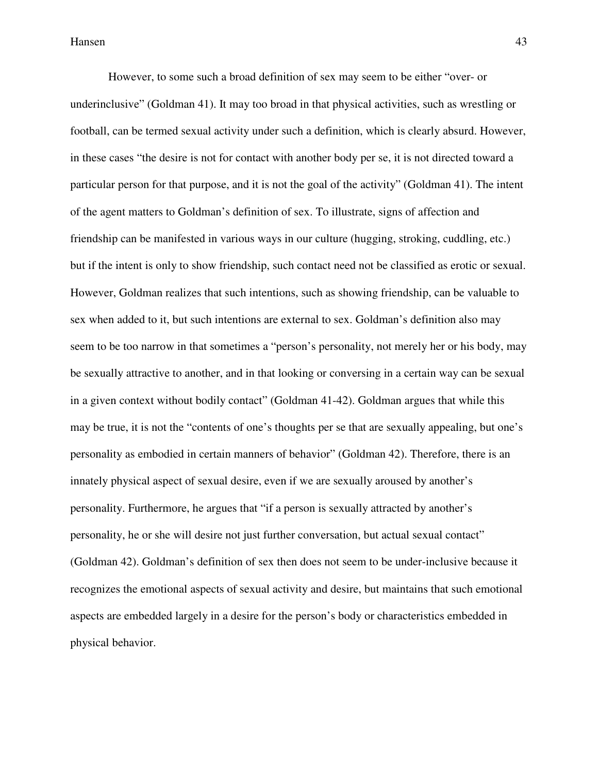However, to some such a broad definition of sex may seem to be either "over- or underinclusive" (Goldman 41). It may too broad in that physical activities, such as wrestling or football, can be termed sexual activity under such a definition, which is clearly absurd. However, in these cases "the desire is not for contact with another body per se, it is not directed toward a particular person for that purpose, and it is not the goal of the activity" (Goldman 41). The intent of the agent matters to Goldman's definition of sex. To illustrate, signs of affection and friendship can be manifested in various ways in our culture (hugging, stroking, cuddling, etc.) but if the intent is only to show friendship, such contact need not be classified as erotic or sexual. However, Goldman realizes that such intentions, such as showing friendship, can be valuable to sex when added to it, but such intentions are external to sex. Goldman's definition also may seem to be too narrow in that sometimes a "person's personality, not merely her or his body, may be sexually attractive to another, and in that looking or conversing in a certain way can be sexual in a given context without bodily contact" (Goldman 41-42). Goldman argues that while this may be true, it is not the "contents of one's thoughts per se that are sexually appealing, but one's personality as embodied in certain manners of behavior" (Goldman 42). Therefore, there is an innately physical aspect of sexual desire, even if we are sexually aroused by another's personality. Furthermore, he argues that "if a person is sexually attracted by another's personality, he or she will desire not just further conversation, but actual sexual contact" (Goldman 42). Goldman's definition of sex then does not seem to be under-inclusive because it recognizes the emotional aspects of sexual activity and desire, but maintains that such emotional aspects are embedded largely in a desire for the person's body or characteristics embedded in physical behavior.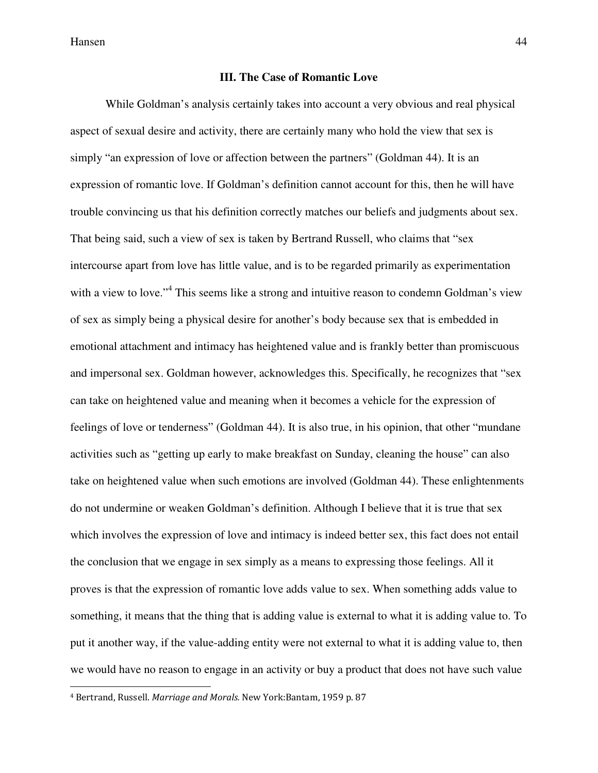l

#### **III. The Case of Romantic Love**

 While Goldman's analysis certainly takes into account a very obvious and real physical aspect of sexual desire and activity, there are certainly many who hold the view that sex is simply "an expression of love or affection between the partners" (Goldman 44). It is an expression of romantic love. If Goldman's definition cannot account for this, then he will have trouble convincing us that his definition correctly matches our beliefs and judgments about sex. That being said, such a view of sex is taken by Bertrand Russell, who claims that "sex intercourse apart from love has little value, and is to be regarded primarily as experimentation with a view to love."<sup>4</sup> This seems like a strong and intuitive reason to condemn Goldman's view of sex as simply being a physical desire for another's body because sex that is embedded in emotional attachment and intimacy has heightened value and is frankly better than promiscuous and impersonal sex. Goldman however, acknowledges this. Specifically, he recognizes that "sex can take on heightened value and meaning when it becomes a vehicle for the expression of feelings of love or tenderness" (Goldman 44). It is also true, in his opinion, that other "mundane activities such as "getting up early to make breakfast on Sunday, cleaning the house" can also take on heightened value when such emotions are involved (Goldman 44). These enlightenments do not undermine or weaken Goldman's definition. Although I believe that it is true that sex which involves the expression of love and intimacy is indeed better sex, this fact does not entail the conclusion that we engage in sex simply as a means to expressing those feelings. All it proves is that the expression of romantic love adds value to sex. When something adds value to something, it means that the thing that is adding value is external to what it is adding value to. To put it another way, if the value-adding entity were not external to what it is adding value to, then we would have no reason to engage in an activity or buy a product that does not have such value

<sup>4</sup> Bertrand, Russell. Marriage and Morals. New York:Bantam, 1959 p. 87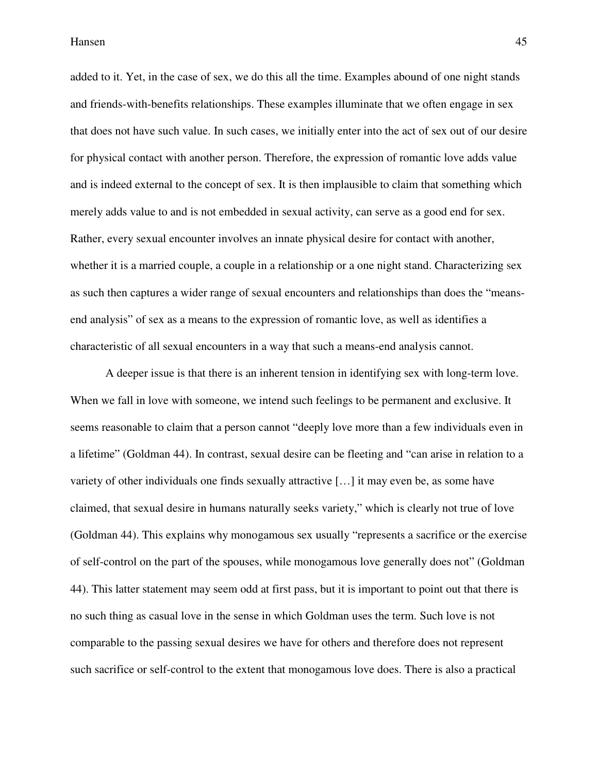added to it. Yet, in the case of sex, we do this all the time. Examples abound of one night stands and friends-with-benefits relationships. These examples illuminate that we often engage in sex that does not have such value. In such cases, we initially enter into the act of sex out of our desire for physical contact with another person. Therefore, the expression of romantic love adds value and is indeed external to the concept of sex. It is then implausible to claim that something which merely adds value to and is not embedded in sexual activity, can serve as a good end for sex. Rather, every sexual encounter involves an innate physical desire for contact with another, whether it is a married couple, a couple in a relationship or a one night stand. Characterizing sex as such then captures a wider range of sexual encounters and relationships than does the "meansend analysis" of sex as a means to the expression of romantic love, as well as identifies a characteristic of all sexual encounters in a way that such a means-end analysis cannot.

 A deeper issue is that there is an inherent tension in identifying sex with long-term love. When we fall in love with someone, we intend such feelings to be permanent and exclusive. It seems reasonable to claim that a person cannot "deeply love more than a few individuals even in a lifetime" (Goldman 44). In contrast, sexual desire can be fleeting and "can arise in relation to a variety of other individuals one finds sexually attractive […] it may even be, as some have claimed, that sexual desire in humans naturally seeks variety," which is clearly not true of love (Goldman 44). This explains why monogamous sex usually "represents a sacrifice or the exercise of self-control on the part of the spouses, while monogamous love generally does not" (Goldman 44). This latter statement may seem odd at first pass, but it is important to point out that there is no such thing as casual love in the sense in which Goldman uses the term. Such love is not comparable to the passing sexual desires we have for others and therefore does not represent such sacrifice or self-control to the extent that monogamous love does. There is also a practical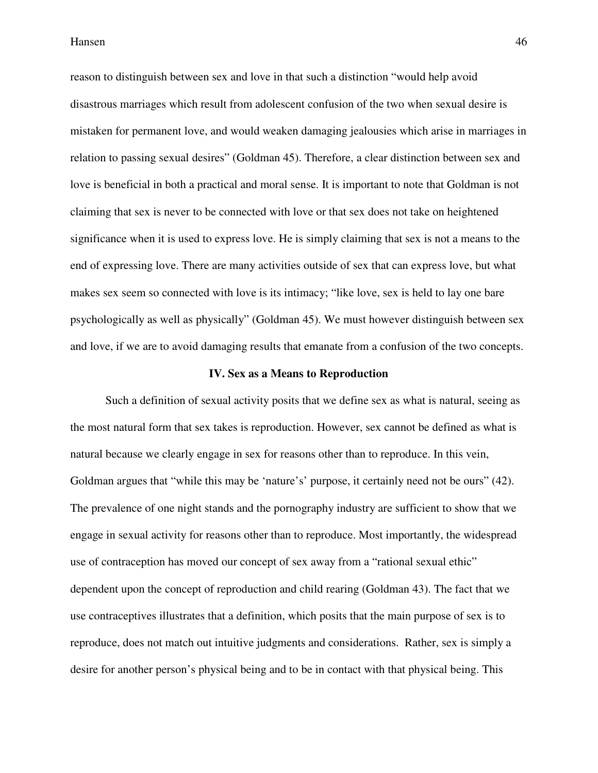reason to distinguish between sex and love in that such a distinction "would help avoid disastrous marriages which result from adolescent confusion of the two when sexual desire is mistaken for permanent love, and would weaken damaging jealousies which arise in marriages in relation to passing sexual desires" (Goldman 45). Therefore, a clear distinction between sex and love is beneficial in both a practical and moral sense. It is important to note that Goldman is not claiming that sex is never to be connected with love or that sex does not take on heightened significance when it is used to express love. He is simply claiming that sex is not a means to the end of expressing love. There are many activities outside of sex that can express love, but what makes sex seem so connected with love is its intimacy; "like love, sex is held to lay one bare psychologically as well as physically" (Goldman 45). We must however distinguish between sex and love, if we are to avoid damaging results that emanate from a confusion of the two concepts.

#### **IV. Sex as a Means to Reproduction**

 Such a definition of sexual activity posits that we define sex as what is natural, seeing as the most natural form that sex takes is reproduction. However, sex cannot be defined as what is natural because we clearly engage in sex for reasons other than to reproduce. In this vein, Goldman argues that "while this may be 'nature's' purpose, it certainly need not be ours" (42). The prevalence of one night stands and the pornography industry are sufficient to show that we engage in sexual activity for reasons other than to reproduce. Most importantly, the widespread use of contraception has moved our concept of sex away from a "rational sexual ethic" dependent upon the concept of reproduction and child rearing (Goldman 43). The fact that we use contraceptives illustrates that a definition, which posits that the main purpose of sex is to reproduce, does not match out intuitive judgments and considerations. Rather, sex is simply a desire for another person's physical being and to be in contact with that physical being. This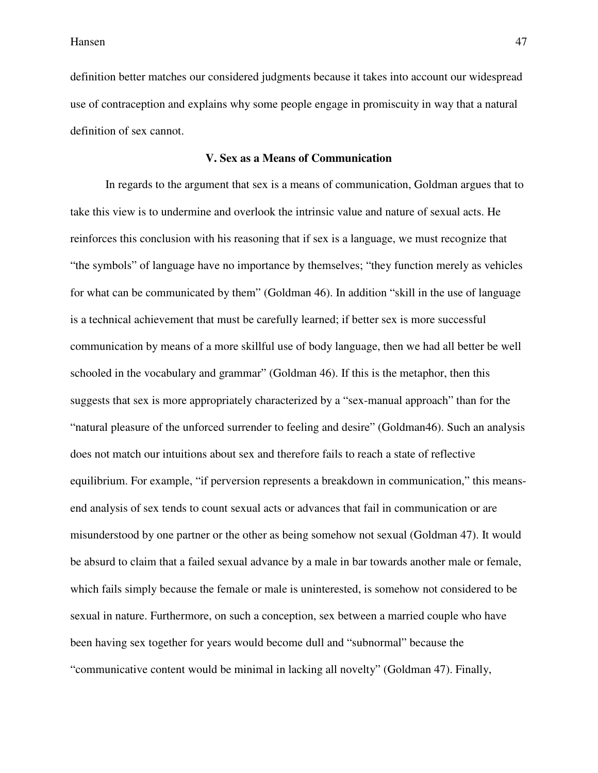definition better matches our considered judgments because it takes into account our widespread use of contraception and explains why some people engage in promiscuity in way that a natural definition of sex cannot.

#### **V. Sex as a Means of Communication**

 In regards to the argument that sex is a means of communication, Goldman argues that to take this view is to undermine and overlook the intrinsic value and nature of sexual acts. He reinforces this conclusion with his reasoning that if sex is a language, we must recognize that "the symbols" of language have no importance by themselves; "they function merely as vehicles for what can be communicated by them" (Goldman 46). In addition "skill in the use of language is a technical achievement that must be carefully learned; if better sex is more successful communication by means of a more skillful use of body language, then we had all better be well schooled in the vocabulary and grammar" (Goldman 46). If this is the metaphor, then this suggests that sex is more appropriately characterized by a "sex-manual approach" than for the "natural pleasure of the unforced surrender to feeling and desire" (Goldman46). Such an analysis does not match our intuitions about sex and therefore fails to reach a state of reflective equilibrium. For example, "if perversion represents a breakdown in communication," this meansend analysis of sex tends to count sexual acts or advances that fail in communication or are misunderstood by one partner or the other as being somehow not sexual (Goldman 47). It would be absurd to claim that a failed sexual advance by a male in bar towards another male or female, which fails simply because the female or male is uninterested, is somehow not considered to be sexual in nature. Furthermore, on such a conception, sex between a married couple who have been having sex together for years would become dull and "subnormal" because the "communicative content would be minimal in lacking all novelty" (Goldman 47). Finally,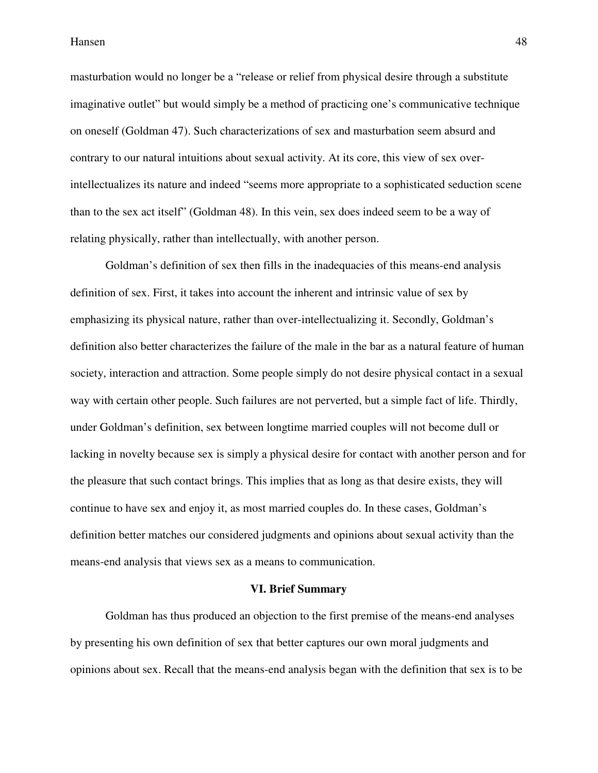masturbation would no longer be a "release or relief from physical desire through a substitute imaginative outlet" but would simply be a method of practicing one's communicative technique on oneself (Goldman 47). Such characterizations of sex and masturbation seem absurd and contrary to our natural intuitions about sexual activity. At its core, this view of sex overintellectualizes its nature and indeed "seems more appropriate to a sophisticated seduction scene than to the sex act itself" (Goldman 48). In this vein, sex does indeed seem to be a way of relating physically, rather than intellectually, with another person.

 Goldman's definition of sex then fills in the inadequacies of this means-end analysis definition of sex. First, it takes into account the inherent and intrinsic value of sex by emphasizing its physical nature, rather than over-intellectualizing it. Secondly, Goldman's definition also better characterizes the failure of the male in the bar as a natural feature of human society, interaction and attraction. Some people simply do not desire physical contact in a sexual way with certain other people. Such failures are not perverted, but a simple fact of life. Thirdly, under Goldman's definition, sex between longtime married couples will not become dull or lacking in novelty because sex is simply a physical desire for contact with another person and for the pleasure that such contact brings. This implies that as long as that desire exists, they will continue to have sex and enjoy it, as most married couples do. In these cases, Goldman's definition better matches our considered judgments and opinions about sexual activity than the means-end analysis that views sex as a means to communication.

#### **VI. Brief Summary**

 Goldman has thus produced an objection to the first premise of the means-end analyses by presenting his own definition of sex that better captures our own moral judgments and opinions about sex. Recall that the means-end analysis began with the definition that sex is to be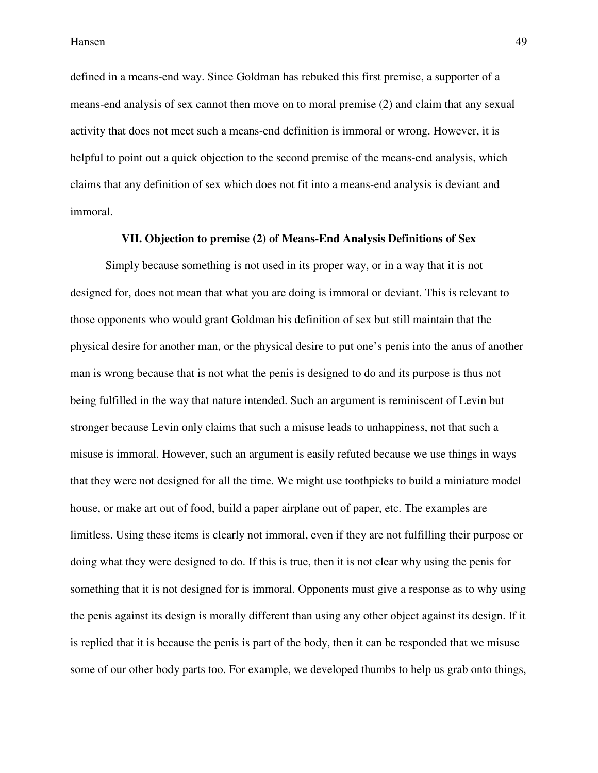defined in a means-end way. Since Goldman has rebuked this first premise, a supporter of a means-end analysis of sex cannot then move on to moral premise (2) and claim that any sexual activity that does not meet such a means-end definition is immoral or wrong. However, it is helpful to point out a quick objection to the second premise of the means-end analysis, which claims that any definition of sex which does not fit into a means-end analysis is deviant and immoral.

#### **VII. Objection to premise (2) of Means-End Analysis Definitions of Sex**

 Simply because something is not used in its proper way, or in a way that it is not designed for, does not mean that what you are doing is immoral or deviant. This is relevant to those opponents who would grant Goldman his definition of sex but still maintain that the physical desire for another man, or the physical desire to put one's penis into the anus of another man is wrong because that is not what the penis is designed to do and its purpose is thus not being fulfilled in the way that nature intended. Such an argument is reminiscent of Levin but stronger because Levin only claims that such a misuse leads to unhappiness, not that such a misuse is immoral. However, such an argument is easily refuted because we use things in ways that they were not designed for all the time. We might use toothpicks to build a miniature model house, or make art out of food, build a paper airplane out of paper, etc. The examples are limitless. Using these items is clearly not immoral, even if they are not fulfilling their purpose or doing what they were designed to do. If this is true, then it is not clear why using the penis for something that it is not designed for is immoral. Opponents must give a response as to why using the penis against its design is morally different than using any other object against its design. If it is replied that it is because the penis is part of the body, then it can be responded that we misuse some of our other body parts too. For example, we developed thumbs to help us grab onto things,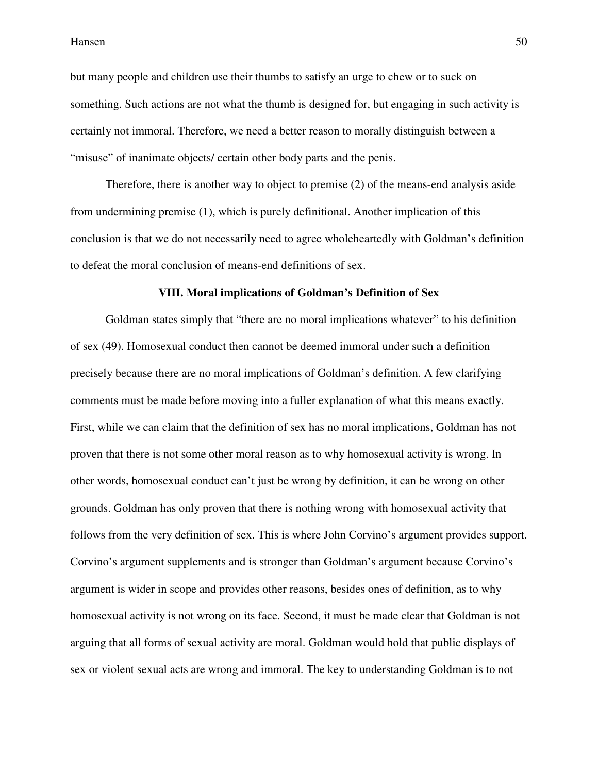but many people and children use their thumbs to satisfy an urge to chew or to suck on something. Such actions are not what the thumb is designed for, but engaging in such activity is certainly not immoral. Therefore, we need a better reason to morally distinguish between a "misuse" of inanimate objects/ certain other body parts and the penis.

 Therefore, there is another way to object to premise (2) of the means-end analysis aside from undermining premise (1), which is purely definitional. Another implication of this conclusion is that we do not necessarily need to agree wholeheartedly with Goldman's definition to defeat the moral conclusion of means-end definitions of sex.

#### **VIII. Moral implications of Goldman's Definition of Sex**

 Goldman states simply that "there are no moral implications whatever" to his definition of sex (49). Homosexual conduct then cannot be deemed immoral under such a definition precisely because there are no moral implications of Goldman's definition. A few clarifying comments must be made before moving into a fuller explanation of what this means exactly. First, while we can claim that the definition of sex has no moral implications, Goldman has not proven that there is not some other moral reason as to why homosexual activity is wrong. In other words, homosexual conduct can't just be wrong by definition, it can be wrong on other grounds. Goldman has only proven that there is nothing wrong with homosexual activity that follows from the very definition of sex. This is where John Corvino's argument provides support. Corvino's argument supplements and is stronger than Goldman's argument because Corvino's argument is wider in scope and provides other reasons, besides ones of definition, as to why homosexual activity is not wrong on its face. Second, it must be made clear that Goldman is not arguing that all forms of sexual activity are moral. Goldman would hold that public displays of sex or violent sexual acts are wrong and immoral. The key to understanding Goldman is to not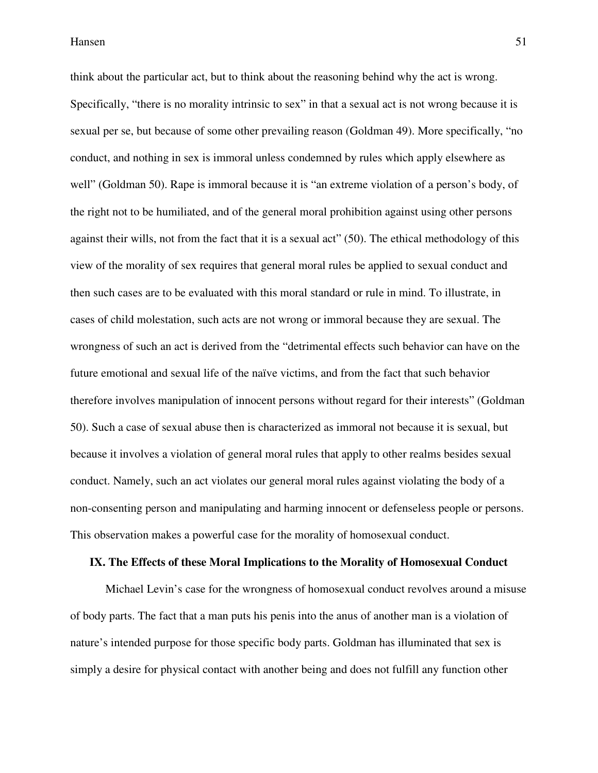think about the particular act, but to think about the reasoning behind why the act is wrong. Specifically, "there is no morality intrinsic to sex" in that a sexual act is not wrong because it is sexual per se, but because of some other prevailing reason (Goldman 49). More specifically, "no conduct, and nothing in sex is immoral unless condemned by rules which apply elsewhere as well" (Goldman 50). Rape is immoral because it is "an extreme violation of a person's body, of the right not to be humiliated, and of the general moral prohibition against using other persons against their wills, not from the fact that it is a sexual act" (50). The ethical methodology of this view of the morality of sex requires that general moral rules be applied to sexual conduct and then such cases are to be evaluated with this moral standard or rule in mind. To illustrate, in cases of child molestation, such acts are not wrong or immoral because they are sexual. The wrongness of such an act is derived from the "detrimental effects such behavior can have on the future emotional and sexual life of the naïve victims, and from the fact that such behavior therefore involves manipulation of innocent persons without regard for their interests" (Goldman 50). Such a case of sexual abuse then is characterized as immoral not because it is sexual, but because it involves a violation of general moral rules that apply to other realms besides sexual conduct. Namely, such an act violates our general moral rules against violating the body of a non-consenting person and manipulating and harming innocent or defenseless people or persons. This observation makes a powerful case for the morality of homosexual conduct.

#### **IX. The Effects of these Moral Implications to the Morality of Homosexual Conduct**

 Michael Levin's case for the wrongness of homosexual conduct revolves around a misuse of body parts. The fact that a man puts his penis into the anus of another man is a violation of nature's intended purpose for those specific body parts. Goldman has illuminated that sex is simply a desire for physical contact with another being and does not fulfill any function other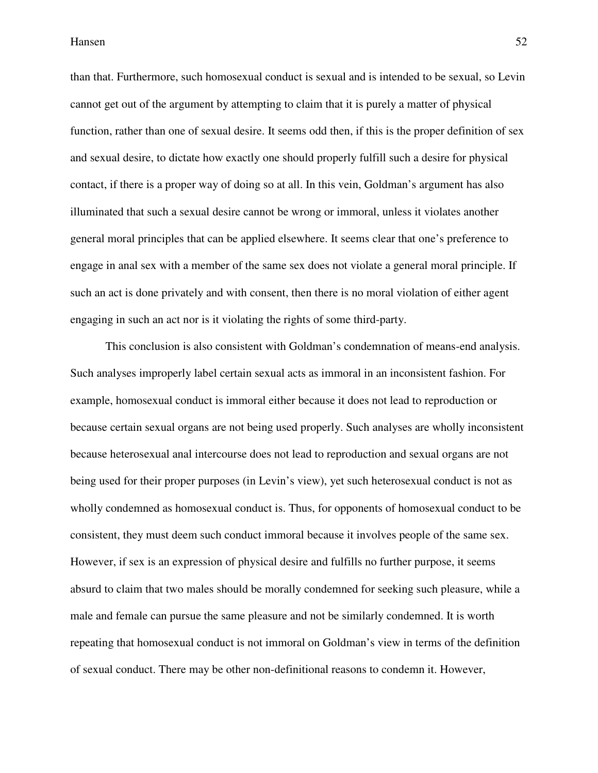than that. Furthermore, such homosexual conduct is sexual and is intended to be sexual, so Levin cannot get out of the argument by attempting to claim that it is purely a matter of physical function, rather than one of sexual desire. It seems odd then, if this is the proper definition of sex and sexual desire, to dictate how exactly one should properly fulfill such a desire for physical contact, if there is a proper way of doing so at all. In this vein, Goldman's argument has also illuminated that such a sexual desire cannot be wrong or immoral, unless it violates another general moral principles that can be applied elsewhere. It seems clear that one's preference to engage in anal sex with a member of the same sex does not violate a general moral principle. If such an act is done privately and with consent, then there is no moral violation of either agent engaging in such an act nor is it violating the rights of some third-party.

 This conclusion is also consistent with Goldman's condemnation of means-end analysis. Such analyses improperly label certain sexual acts as immoral in an inconsistent fashion. For example, homosexual conduct is immoral either because it does not lead to reproduction or because certain sexual organs are not being used properly. Such analyses are wholly inconsistent because heterosexual anal intercourse does not lead to reproduction and sexual organs are not being used for their proper purposes (in Levin's view), yet such heterosexual conduct is not as wholly condemned as homosexual conduct is. Thus, for opponents of homosexual conduct to be consistent, they must deem such conduct immoral because it involves people of the same sex. However, if sex is an expression of physical desire and fulfills no further purpose, it seems absurd to claim that two males should be morally condemned for seeking such pleasure, while a male and female can pursue the same pleasure and not be similarly condemned. It is worth repeating that homosexual conduct is not immoral on Goldman's view in terms of the definition of sexual conduct. There may be other non-definitional reasons to condemn it. However,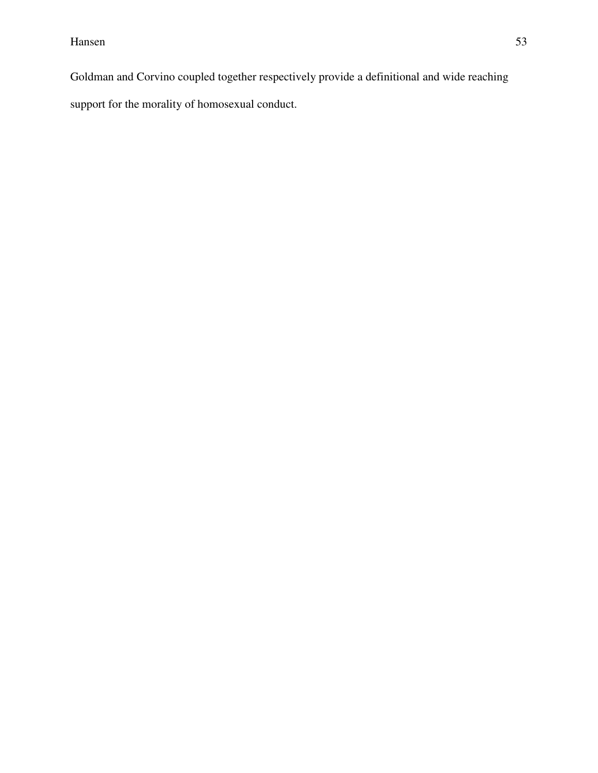Goldman and Corvino coupled together respectively provide a definitional and wide reaching support for the morality of homosexual conduct.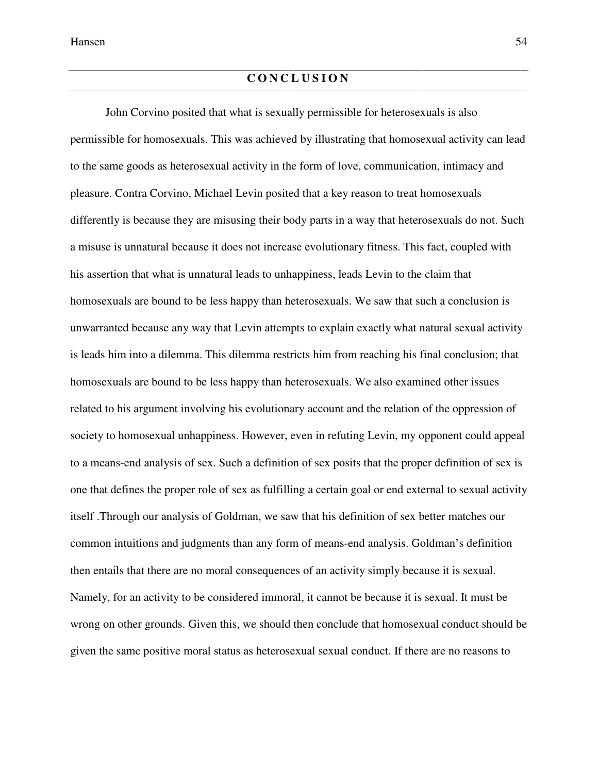# **C O N C L U S I O N**

 John Corvino posited that what is sexually permissible for heterosexuals is also permissible for homosexuals. This was achieved by illustrating that homosexual activity can lead to the same goods as heterosexual activity in the form of love, communication, intimacy and pleasure. Contra Corvino, Michael Levin posited that a key reason to treat homosexuals differently is because they are misusing their body parts in a way that heterosexuals do not. Such a misuse is unnatural because it does not increase evolutionary fitness. This fact, coupled with his assertion that what is unnatural leads to unhappiness, leads Levin to the claim that homosexuals are bound to be less happy than heterosexuals. We saw that such a conclusion is unwarranted because any way that Levin attempts to explain exactly what natural sexual activity is leads him into a dilemma. This dilemma restricts him from reaching his final conclusion; that homosexuals are bound to be less happy than heterosexuals. We also examined other issues related to his argument involving his evolutionary account and the relation of the oppression of society to homosexual unhappiness. However, even in refuting Levin, my opponent could appeal to a means-end analysis of sex. Such a definition of sex posits that the proper definition of sex is one that defines the proper role of sex as fulfilling a certain goal or end external to sexual activity itself .Through our analysis of Goldman, we saw that his definition of sex better matches our common intuitions and judgments than any form of means-end analysis. Goldman's definition then entails that there are no moral consequences of an activity simply because it is sexual. Namely, for an activity to be considered immoral, it cannot be because it is sexual. It must be wrong on other grounds. Given this, we should then conclude that homosexual conduct should be given the same positive moral status as heterosexual sexual conduct*.* If there are no reasons to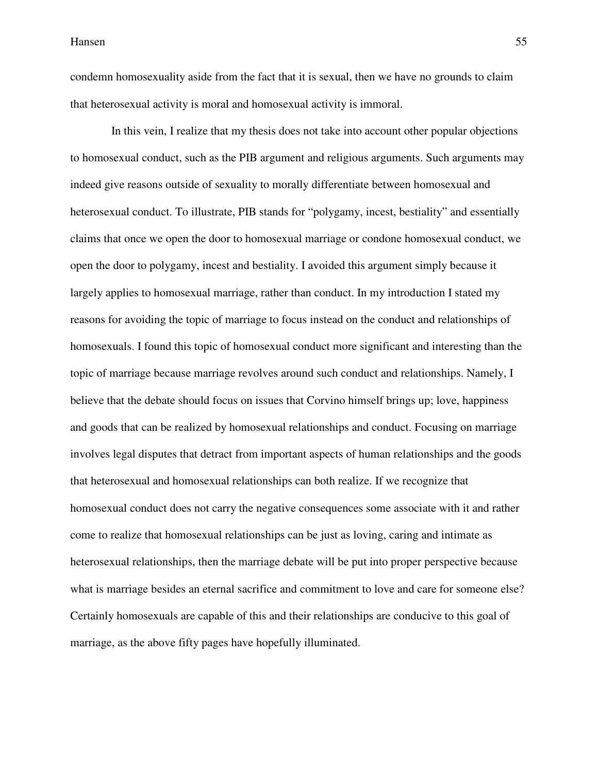condemn homosexuality aside from the fact that it is sexual, then we have no grounds to claim that heterosexual activity is moral and homosexual activity is immoral.

 In this vein, I realize that my thesis does not take into account other popular objections to homosexual conduct, such as the PIB argument and religious arguments. Such arguments may indeed give reasons outside of sexuality to morally differentiate between homosexual and heterosexual conduct. To illustrate, PIB stands for "polygamy, incest, bestiality" and essentially claims that once we open the door to homosexual marriage or condone homosexual conduct, we open the door to polygamy, incest and bestiality. I avoided this argument simply because it largely applies to homosexual marriage, rather than conduct. In my introduction I stated my reasons for avoiding the topic of marriage to focus instead on the conduct and relationships of homosexuals. I found this topic of homosexual conduct more significant and interesting than the topic of marriage because marriage revolves around such conduct and relationships. Namely, I believe that the debate should focus on issues that Corvino himself brings up; love, happiness and goods that can be realized by homosexual relationships and conduct. Focusing on marriage involves legal disputes that detract from important aspects of human relationships and the goods that heterosexual and homosexual relationships can both realize. If we recognize that homosexual conduct does not carry the negative consequences some associate with it and rather come to realize that homosexual relationships can be just as loving, caring and intimate as heterosexual relationships, then the marriage debate will be put into proper perspective because what is marriage besides an eternal sacrifice and commitment to love and care for someone else? Certainly homosexuals are capable of this and their relationships are conducive to this goal of marriage, as the above fifty pages have hopefully illuminated.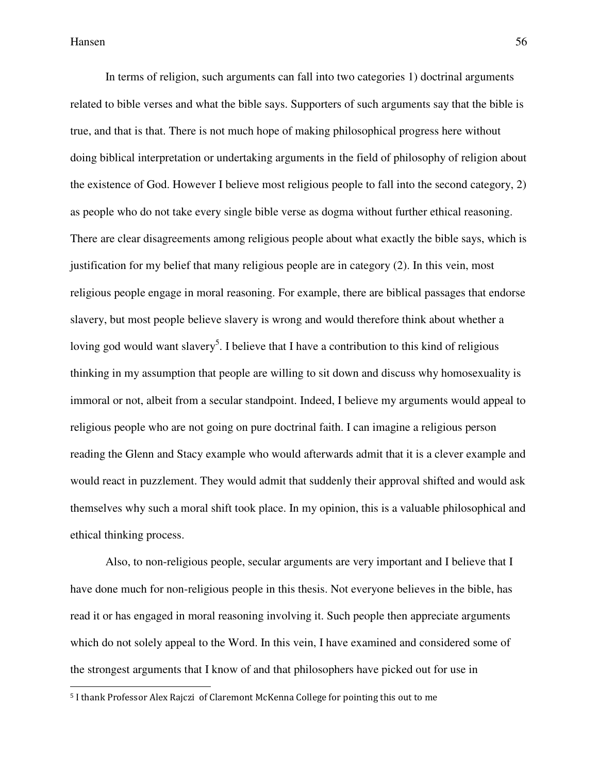l

 In terms of religion, such arguments can fall into two categories 1) doctrinal arguments related to bible verses and what the bible says. Supporters of such arguments say that the bible is true, and that is that. There is not much hope of making philosophical progress here without doing biblical interpretation or undertaking arguments in the field of philosophy of religion about the existence of God. However I believe most religious people to fall into the second category, 2) as people who do not take every single bible verse as dogma without further ethical reasoning. There are clear disagreements among religious people about what exactly the bible says, which is justification for my belief that many religious people are in category (2). In this vein, most religious people engage in moral reasoning. For example, there are biblical passages that endorse slavery, but most people believe slavery is wrong and would therefore think about whether a loving god would want slavery<sup>5</sup>. I believe that I have a contribution to this kind of religious thinking in my assumption that people are willing to sit down and discuss why homosexuality is immoral or not, albeit from a secular standpoint. Indeed, I believe my arguments would appeal to religious people who are not going on pure doctrinal faith. I can imagine a religious person reading the Glenn and Stacy example who would afterwards admit that it is a clever example and would react in puzzlement. They would admit that suddenly their approval shifted and would ask themselves why such a moral shift took place. In my opinion, this is a valuable philosophical and ethical thinking process.

 Also, to non-religious people, secular arguments are very important and I believe that I have done much for non-religious people in this thesis. Not everyone believes in the bible, has read it or has engaged in moral reasoning involving it. Such people then appreciate arguments which do not solely appeal to the Word. In this vein, I have examined and considered some of the strongest arguments that I know of and that philosophers have picked out for use in

<sup>5</sup> I thank Professor Alex Rajczi of Claremont McKenna College for pointing this out to me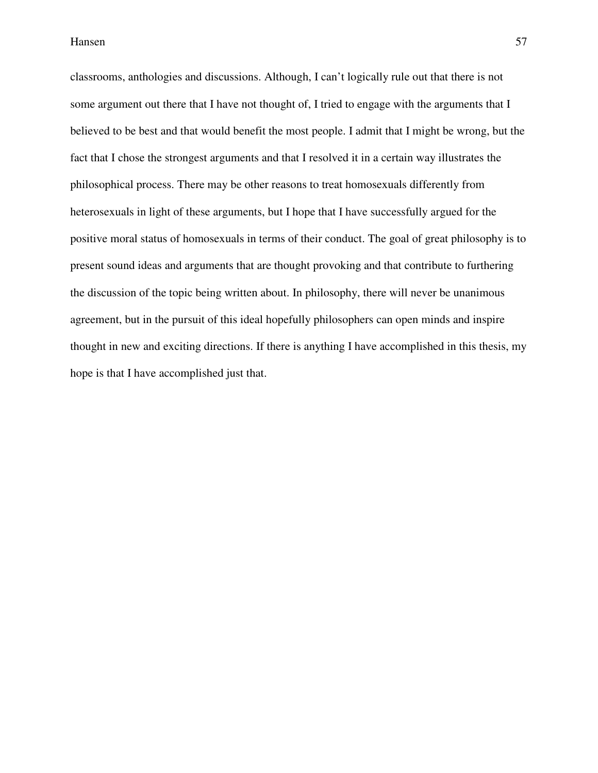classrooms, anthologies and discussions. Although, I can't logically rule out that there is not some argument out there that I have not thought of, I tried to engage with the arguments that I believed to be best and that would benefit the most people. I admit that I might be wrong, but the fact that I chose the strongest arguments and that I resolved it in a certain way illustrates the philosophical process. There may be other reasons to treat homosexuals differently from heterosexuals in light of these arguments, but I hope that I have successfully argued for the positive moral status of homosexuals in terms of their conduct. The goal of great philosophy is to present sound ideas and arguments that are thought provoking and that contribute to furthering the discussion of the topic being written about. In philosophy, there will never be unanimous agreement, but in the pursuit of this ideal hopefully philosophers can open minds and inspire thought in new and exciting directions. If there is anything I have accomplished in this thesis, my hope is that I have accomplished just that.